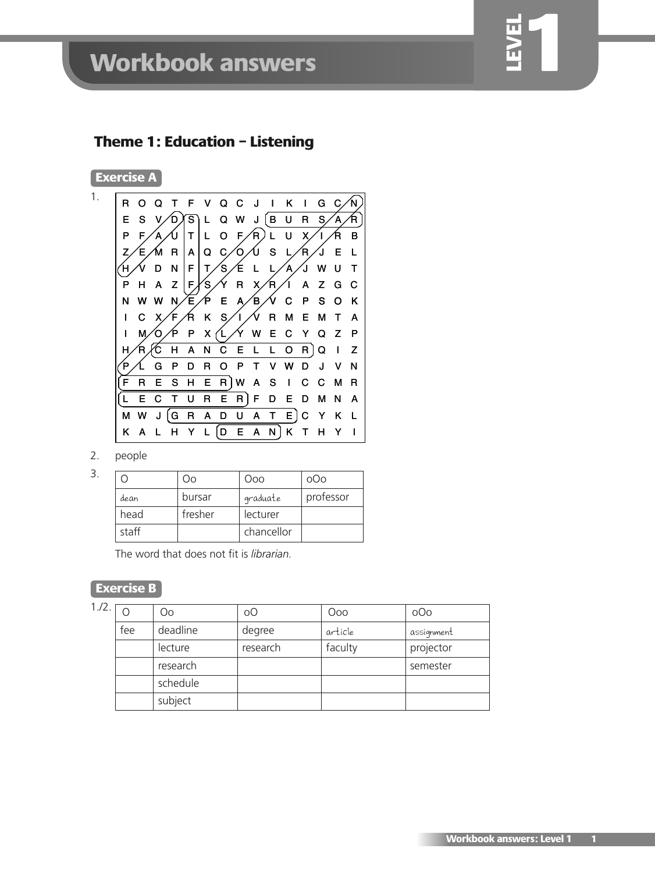#### **Theme 1: Education – Listening** S

#### **Exercise A**



#### 2. people

|       | OΟ      | OOC        | oOo       |
|-------|---------|------------|-----------|
| dean  | bursar  | graduate   | professor |
| head  | fresher | lecturer   |           |
| staff |         | chancellor |           |

The word that does not fit is *librarian.*

#### **Exercise B**

1./2. O | Oo | OO | OOO | OOO fee deadline degree article assignment lecture research faculty projector research and the semester of the semester schedule subject

**LEV EL**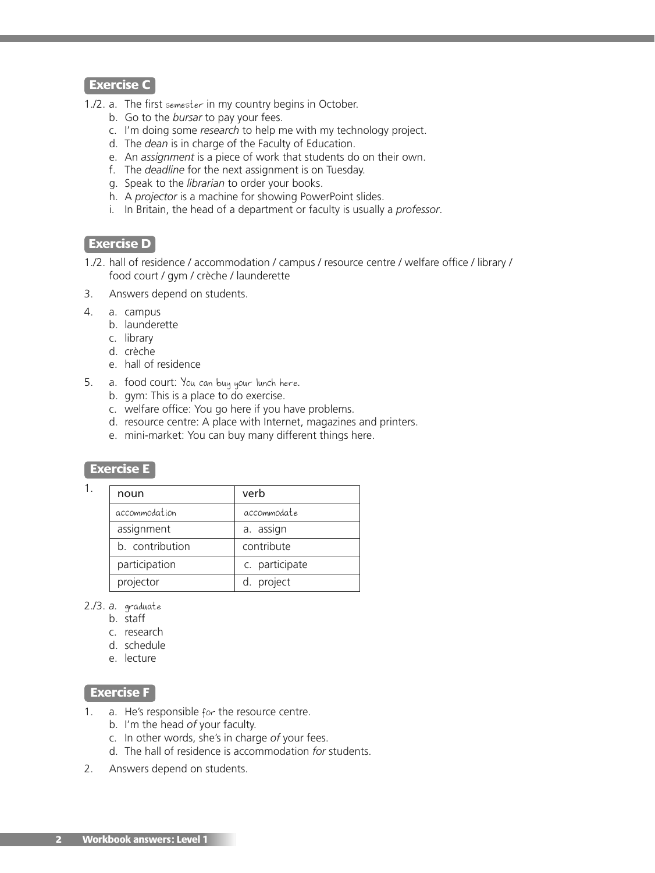1./2. a. The first semester in my country begins in October.

- b. Go to the *bursar* to pay your fees.
- c. I'm doing some *research* to help me with my technology project.
- d. The *dean* is in charge of the Faculty of Education.
- e. An *assignment* is a piece of work that students do on their own.
- f. The *deadline* for the next assignment is on Tuesday.
- g. Speak to the *librarian* to order your books.
- h. A *projector* is a machine for showing PowerPoint slides.
- i. In Britain, the head of a department or faculty is usually a *professor*.

#### **Exercise D**

- 1./2. hall of residence / accommodation / campus / resource centre / welfare office / library / food court / gym / crèche / launderette
- 3. Answers depend on students.
- 4. a. campus
	- b. launderette
	- c. library
	- d. crèche
	- e. hall of residence
- 5. a. food court: You can buy your lunch here*.*
	- b. gym: This is a place to do exercise.
	- c. welfare office: You go here if you have problems.
	- d. resource centre: A place with Internet, magazines and printers.
	- e. mini-market: You can buy many different things here.

#### **Exercise E**

1.

| noun            | verb           |
|-----------------|----------------|
| accommodation   | accommodate    |
| assignment      | a. assign      |
| b. contribution | contribute     |
| participation   | c. participate |
| projector       | d. project     |

- 2./3. *a.* graduate
	- b. staff
	- c. research
	- d. schedule
	- e. lecture

#### **Exercise F**

- 1. a. He's responsible for the resource centre.
	- b. I'm the head *of* your faculty.
	- c. In other words, she's in charge *of* your fees.
	- d. The hall of residence is accommodation *for* students.
- 2. Answers depend on students.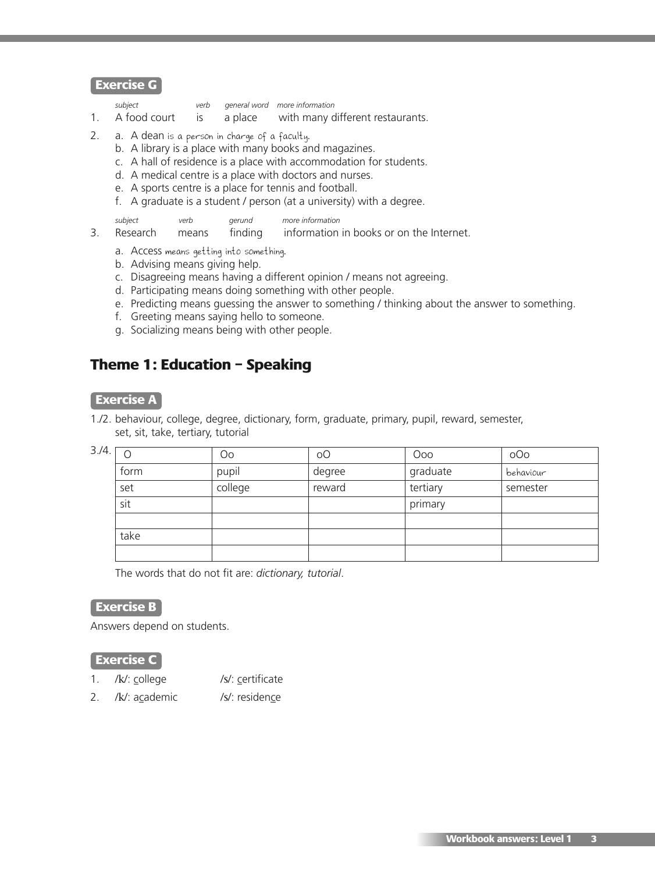#### **Exercise G**

*subject verb general word more information*

- 1. A food court is a place with many different restaurants.
- 2. a. A dean is a person in charge of a faculty*.*
	- b. A library is a place with many books and magazines.
	- c. A hall of residence is a place with accommodation for students.
	- d. A medical centre is a place with doctors and nurses.
	- e. A sports centre is a place for tennis and football.
	- f. A graduate is a student / person (at a university) with a degree.

*subject verb gerund more information*

3. Research means finding information in books or on the Internet.

- a. Access means getting into something*.*
- b. Advising means giving help.
- c. Disagreeing means having a different opinion / means not agreeing.
- d. Participating means doing something with other people.
- e. Predicting means guessing the answer to something / thinking about the answer to something.
- f. Greeting means saying hello to someone.
- g. Socializing means being with other people.

### **Theme 1: Education – Speaking**

#### **Exercise A**

1./2. behaviour, college, degree, dictionary, form, graduate, primary, pupil, reward, semester, set, sit, take, tertiary, tutorial

 $3.74.1$ 

| $\circ$ | Oo      | <sub>o</sub> O | Ooo      | oOo       |
|---------|---------|----------------|----------|-----------|
| form    | pupil   | degree         | graduate | behaviour |
| set     | college | reward         | tertiary | semester  |
| sit     |         |                | primary  |           |
|         |         |                |          |           |
| take    |         |                |          |           |
|         |         |                |          |           |

The words that do not fit are: *dictionary, tutorial*.

#### **Exercise B**

Answers depend on students.

#### **Exercise C**

- 1. /k/: college /s/: certificate
- 2. /k/: academic /s/: residence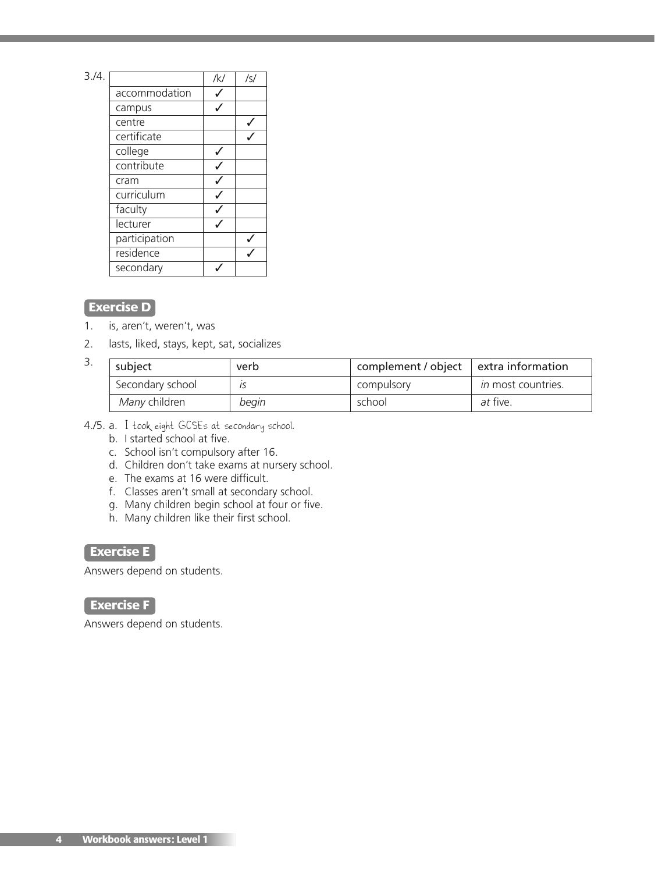| .,     |   |  |
|--------|---|--|
| ÷<br>I | ш |  |
|        |   |  |

|               | /k/ | /s/ |
|---------------|-----|-----|
| accommodation |     |     |
| campus        |     |     |
| centre        |     |     |
| certificate   |     |     |
| college       |     |     |
| contribute    |     |     |
| cram          |     |     |
| curriculum    |     |     |
| faculty       |     |     |
| lecturer      |     |     |
| participation |     |     |
| residence     |     |     |
| secondary     |     |     |

### **Exercise D**

- 1. is, aren't, weren't, was
- 2. lasts, liked, stays, kept, sat, socializes

| C. | subject          | verb  | complement / object $\vert$ extra information |                           |
|----|------------------|-------|-----------------------------------------------|---------------------------|
|    | Secondary school |       | compulsory                                    | <i>in</i> most countries. |
|    | Many children    | begin | school                                        | <i>at</i> five.           |

- 4./5. a. I took eight GCSEs at secondary school*.*
	- b. I started school at five.
	- c. School isn't compulsory after 16.
	- d. Children don't take exams at nursery school.
	- e. The exams at 16 were difficult.
	- f. Classes aren't small at secondary school.
	- g. Many children begin school at four or five.
	- h. Many children like their first school.

### **Exercise E**

Answers depend on students.

### **Exercise F**

Answers depend on students.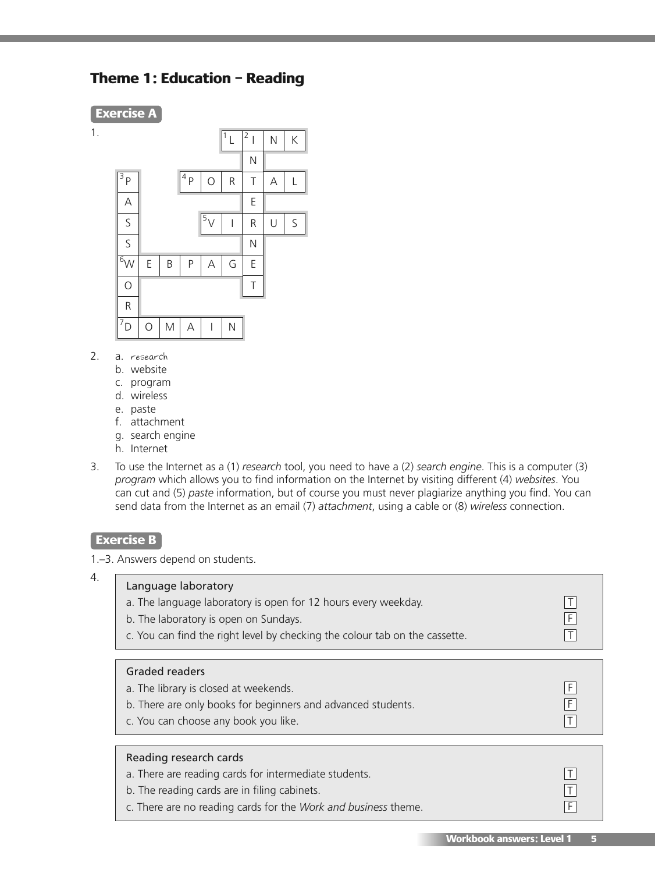# **Theme 1: Education – Reading**



- 2. a. research
	- b. website
	- c. program
	- d. wireless
	- e. paste
	- f. attachment
	- g. search engine
	- h. Internet
- 3. To use the Internet as a (1) *research* tool, you need to have a (2) *search engine*. This is a computer (3) *program* which allows you to find information on the Internet by visiting different (4) *websites*. You can cut and (5) *paste* information, but of course you must never plagiarize anything you find. You can send data from the Internet as an email (7) *attachment*, using a cable or (8) *wireless* connection.

### **Exercise B**

1.–3. Answers depend on students.

| Language laboratory<br>a. The language laboratory is open for 12 hours every weekday.<br>b. The laboratory is open on Sundays.<br>c. You can find the right level by checking the colour tab on the cassette. |   |
|---------------------------------------------------------------------------------------------------------------------------------------------------------------------------------------------------------------|---|
| Graded readers<br>a. The library is closed at weekends.<br>b. There are only books for beginners and advanced students.<br>c. You can choose any book you like.                                               | F |
| Reading research cards<br>a. There are reading cards for intermediate students.<br>b. The reading cards are in filing cabinets.<br>c. There are no reading cards for the Work and business theme.             |   |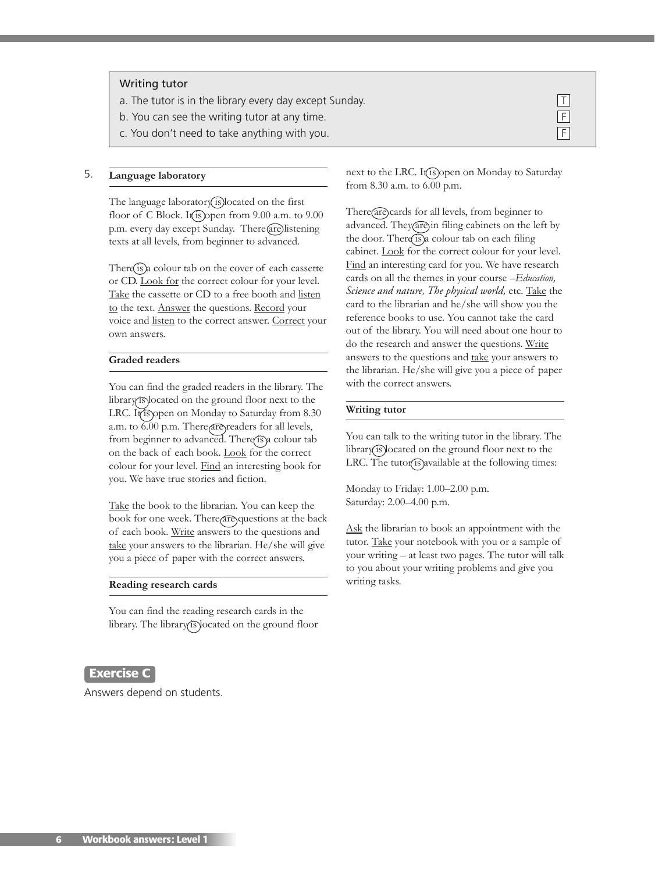#### Writing tutor

- a. The tutor is in the library every day except Sunday.
- b. You can see the writing tutor at any time.
- c. You don't need to take anything with you.

#### 5. **Language laboratory**

The language laboratory is located on the first floor of C Block. It is open from  $9.00$  a.m. to  $9.00$ p.m. every day except Sunday. There are listening texts at all levels, from beginner to advanced.

There  $\widehat{1s}$  a colour tab on the cover of each cassette or CD. Look for the correct colour for your level. Take the cassette or CD to a free booth and listen to the text. Answer the questions. Record your voice and listen to the correct answer. Correct your own answers.

#### **Graded readers**

You can find the graded readers in the library. The library is located on the ground floor next to the LRC. It is open on Monday to Saturday from 8.30 a.m. to 6.00 p.m. There are readers for all levels, from beginner to advanced. There is a colour tab on the back of each book. Look for the correct colour for your level. Find an interesting book for you. We have true stories and fiction.

Take the book to the librarian. You can keep the book for one week. There are questions at the back of each book. Write answers to the questions and take your answers to the librarian. He/she will give you a piece of paper with the correct answers.

#### **Reading research cards**

You can find the reading research cards in the library. The library is located on the ground floor

#### **Exercise C**

Answers depend on students.

from 8.30 a.m. to 6.00 p.m.

There are cards for all levels, from beginner to advanced. They are in filing cabinets on the left by the door. There is a colour tab on each filing cabinet. Look for the correct colour for your level. Find an interesting card for you. We have research cards on all the themes in your course –*Education, Science and nature, The physical world,* etc. Take the card to the librarian and he/she will show you the reference books to use. You cannot take the card out of the library. You will need about one hour to do the research and answer the questions. Write answers to the questions and take your answers to the librarian. He/she will give you a piece of paper with the correct answers.

#### **Writing tutor**

You can talk to the writing tutor in the library. The library is located on the ground floor next to the LRC. The tutor is available at the following times:

Monday to Friday: 1.00–2.00 p.m. Saturday: 2.00–4.00 p.m.

Ask the librarian to book an appointment with the tutor. Take your notebook with you or a sample of your writing – at least two pages. The tutor will talk to you about your writing problems and give you writing tasks.

# next to the LRC. It is open on Monday to Saturday

 $T$  $F$ F

**6 Workbook answers: Level 1**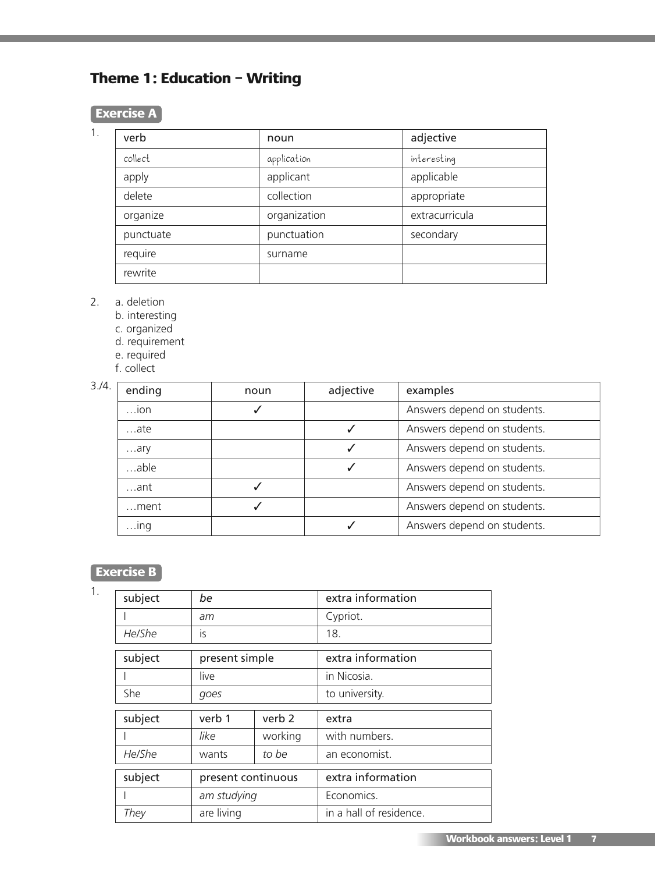# **Theme 1: Education – Writing**

### **Exercise A**

1.

| verb      | noun         | adjective      |
|-----------|--------------|----------------|
| collect   | application  | interesting    |
| apply     | applicant    | applicable     |
| delete    | collection   | appropriate    |
| organize  | organization | extracurricula |
| punctuate | punctuation  | secondary      |
| require   | surname      |                |
| rewrite   |              |                |

- 2. a. deletion
	- b. interesting
	- c. organized
	- d. requirement
	- e. required
	- f. collect

| 3./4. | ending      | noun | adjective | examples                    |
|-------|-------------|------|-----------|-----------------------------|
|       | $\dots$ ion |      |           | Answers depend on students. |
|       | ate         |      |           | Answers depend on students. |
|       | $\dots$ ary |      |           | Answers depend on students. |
|       | able        |      |           | Answers depend on students. |
|       | $\dots$ ant |      |           | Answers depend on students. |
|       | ment        |      |           | Answers depend on students. |
|       | $$ ing      |      |           | Answers depend on students. |

### **Exercise B**

| 1. | subject | be                 |                   | extra information       |
|----|---------|--------------------|-------------------|-------------------------|
|    |         | am<br>İς           |                   | Cypriot.                |
|    | He/She  |                    |                   | 18.                     |
|    |         |                    |                   |                         |
|    | subject | present simple     |                   | extra information       |
|    |         | live               |                   | in Nicosia.             |
|    | She     | goes               |                   | to university.          |
|    |         |                    |                   |                         |
|    | subject | verb 1             | verb <sub>2</sub> | extra                   |
|    |         | like               | working           | with numbers.           |
|    | He/She  | wants              | to be             | an economist.           |
|    |         |                    |                   |                         |
|    | subject | present continuous |                   | extra information       |
|    |         | am studying        |                   | Economics.              |
|    | They    | are living         |                   | in a hall of residence. |
|    |         |                    |                   |                         |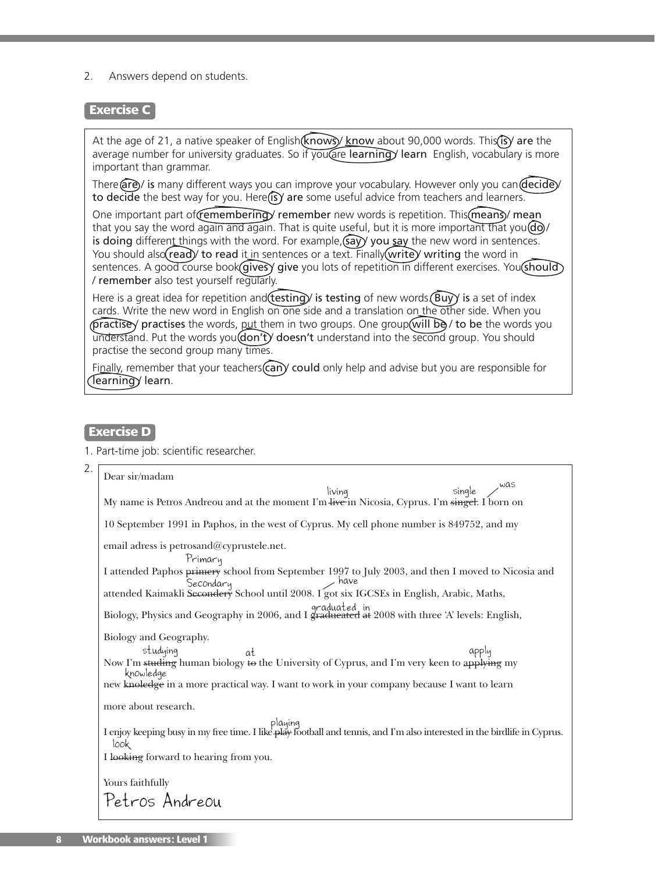2. Answers depend on students.

#### **Exercise C**

At the age of 21, a native speaker of English  $(know)$  know about 90,000 words. This is are the average number for university graduates. So if you are learning learn English, vocabulary is more important than grammar.

There  $\widehat{\text{area}}$  is many different ways you can improve your vocabulary. However only you can  $\widehat{\text{decide}}$ to decide the best way for you. Here (is) are some useful advice from teachers and learners.

One important part of (remembering) remember new words is repetition. This (means) mean that you say the word again and again. That is quite useful, but it is more important that you  $\left(\frac{d}{dx}\right)$ is doing different things with the word. For example,  $(say)'$  you say the new word in sentences. You should also (read) to read it in sentences or a text. Finally (write) writing the word in sentences. A good course book gives y give you lots of repetition in different exercises. You (should) / remember also test yourself regularly.

Here is a great idea for repetition and  $\frac{\text{testing}}{\text{is testing}}$  is testing of new words. Buy is a set of index cards. Write the new word in English on one side and a translation on the other side. When you (practisey practises the words, put them in two groups. One group (will be / to be the words you understand. Put the words you $(d$ on't $)$  doesn't understand into the second group. You should practise the second group many times.

Finally, remember that your teachers (can) could only help and advise but you are responsible for (learning)⁄ learn.

#### **Exercise D**

2.

1. Part-time job: scientific researcher.

Dear sir/madam My name is Petros Andreou and at the moment I'm live in Nicosia, Cyprus. I'm singel. I born on 10 September 1991 in Paphos, in the west of Cyprus. My cell phone number is 849752, and my email adress is petrosand@cyprustele.net. I attended Paphos primery school from September 1997 to July 2003, and then I moved to Nicosia and attended Kaimakli Secondery School until 2008. I got six IGCSEs in English, Arabic, Maths, graduated in<br>Biology, Physics and Geography in 2006, and I <del>graducated at</del> 2008 with three 'A' levels: English, Biology and Geography. Now I'm studing human biology to the University of Cyprus, and I'm very keen to applying my new knoledge in a more practical way. I want to work in your company because I want to learn more about research. I enjoy keeping busy in my free time.Ilike play football and tennis, and I'm also interested in the birdlife in Cyprus. I looking forward to hearing from you. Yours faithfully Petros Andreou living look playing apply at single Primary studying Secondary knowledge  $M<sub>0</sub>$ have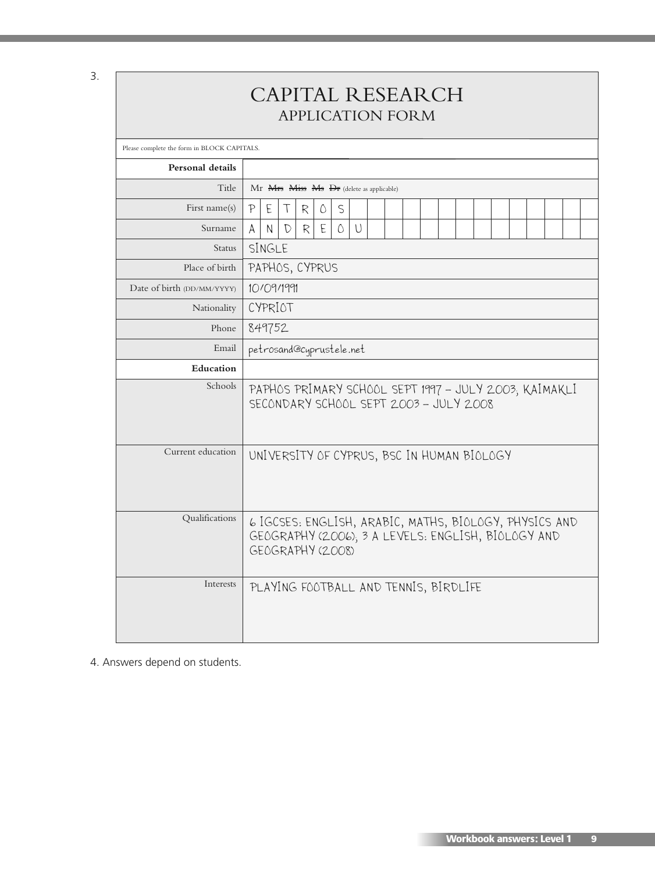| CAPITAL RESEARCH<br><b>APPLICATION FORM</b> |                                                                                                                                  |  |
|---------------------------------------------|----------------------------------------------------------------------------------------------------------------------------------|--|
| Please complete the form in BLOCK CAPITALS. |                                                                                                                                  |  |
| Personal details                            |                                                                                                                                  |  |
| Title                                       | Mr $\overline{Mrs}$ $\overline{Miss}$ $\overline{Ms}$ $\overline{Dr}$ (delete as applicable)                                     |  |
| First name(s)                               | P<br>E<br>R<br>S<br>$\mathcal{L}$<br>U                                                                                           |  |
| Surname                                     | E<br>U<br>A<br>0<br>N<br>$\mathcal{D}$<br>R                                                                                      |  |
| Status                                      | SINGLE                                                                                                                           |  |
| Place of birth                              | PAPHOS, CYPRUS                                                                                                                   |  |
| Date of birth (DD/MM/YYYY)                  | 10/09/1991                                                                                                                       |  |
| Nationality                                 | CYPRIOT                                                                                                                          |  |
| Phone                                       | 849752                                                                                                                           |  |
| Email                                       | petrosand@cyprustele.net                                                                                                         |  |
| Education                                   |                                                                                                                                  |  |
| Schools                                     | PAPHOS PRIMARY SCHOOL SEPT 1997 - JULY 2003, KAIMAKLI<br>SECONDARY SCHOOL SEPT 2003 - JULY 2008                                  |  |
| Current education                           | UNIVERSITY OF CYPRUS, BSC IN HUMAN BIOLOGY                                                                                       |  |
| Qualifications                              | 6 IGCSES: ENGLISH, ARABIC, MATHS, BIOLOGY, PHYSICS AND<br>GEOGRAPHY (2006); 3 A LEVELS: ENGLISH, BIOLOGY AND<br>GEOGRAPHY (2008) |  |
| Interests                                   | PLAYING FOOTBALL AND TENNIS, BIRDLIFE                                                                                            |  |

4. Answers depend on students.

3.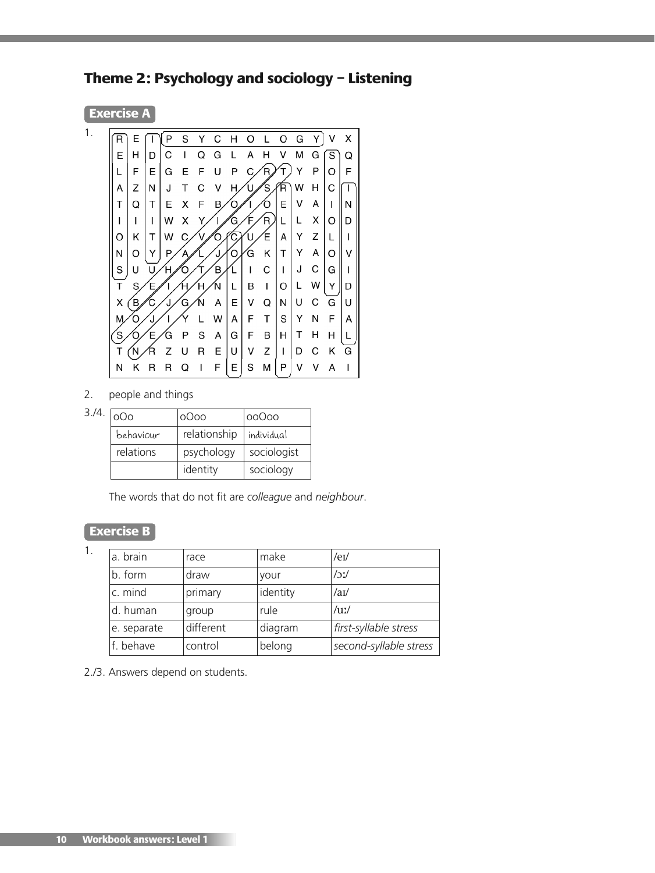**Theme 2: Psychology and sociology – Listening**

**Exercise A**



2. people and things

| $3.4.$ $ _{000}$ | oOoo         | 00000       |
|------------------|--------------|-------------|
| behaviour        | relationship | individual  |
| relations        | psychology   | sociologist |
|                  | identity     | sociology   |

The words that do not fit are *colleague* and *neighbour*.

### **Exercise B**

1. a. brain  $\vert$ race  $\vert$  make  $\vert$ /eɪ/ b. form  $\vert$  draw  $\vert$  your  $\vert$  /ɔː/ c. mind  $\vert$  primary  $\vert$  identity  $\vert$  /ai/ d. human  $\vert$ group  $\vert$ rule  $\vert$ /uː/ e. separate different diagram *first-syllable stress*

f. behave control belong *second-syllable stress*

2./3. Answers depend on students.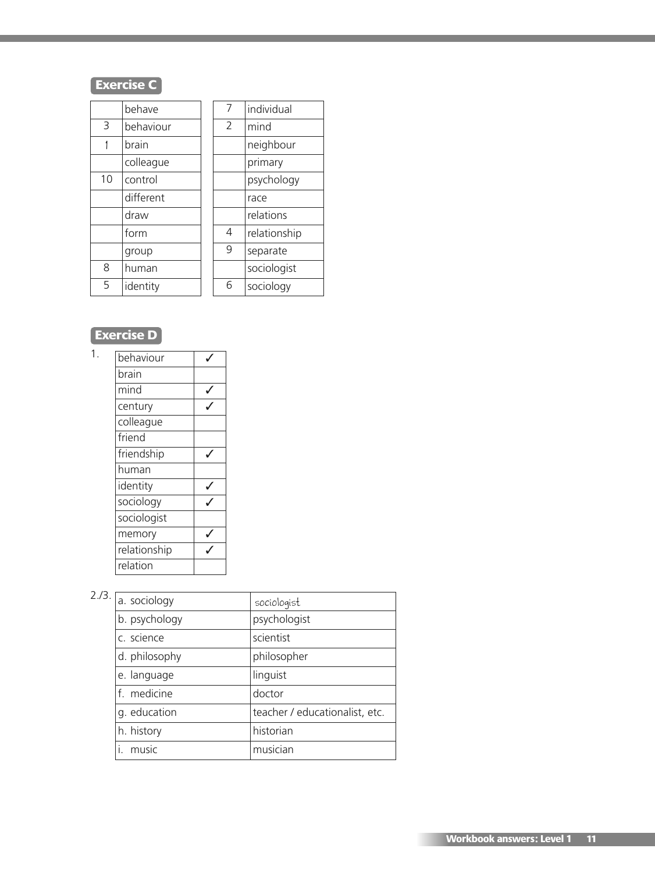|    | hehave    | 7 | individual   |
|----|-----------|---|--------------|
| 3  | behaviour | 2 | mind         |
|    | brain     |   | neighbour    |
|    | colleague |   | primary      |
| 10 | control   |   | psychology   |
|    | different |   | race         |
|    | draw      |   | relations    |
|    | form      | 4 | relationship |
|    | group     | 9 | separate     |
| 8  | human     |   | sociologist  |
| 5  | identity  | 6 | sociology    |

## **Exercise D**

1.

| behaviour    |  |
|--------------|--|
| brain        |  |
| mind         |  |
| century      |  |
| colleague    |  |
| friend       |  |
| friendship   |  |
| human        |  |
| identity     |  |
| sociology    |  |
| sociologist  |  |
| memory       |  |
| relationship |  |
| relation     |  |

| a. sociology  | sociologist                    |
|---------------|--------------------------------|
| b. psychology | psychologist                   |
| c. science    | scientist                      |
| d. philosophy | philosopher                    |
| e. language   | linguist                       |
| f. medicine   | doctor                         |
| g. education  | teacher / educationalist, etc. |
| h. history    | historian                      |
| music         | musician                       |
|               |                                |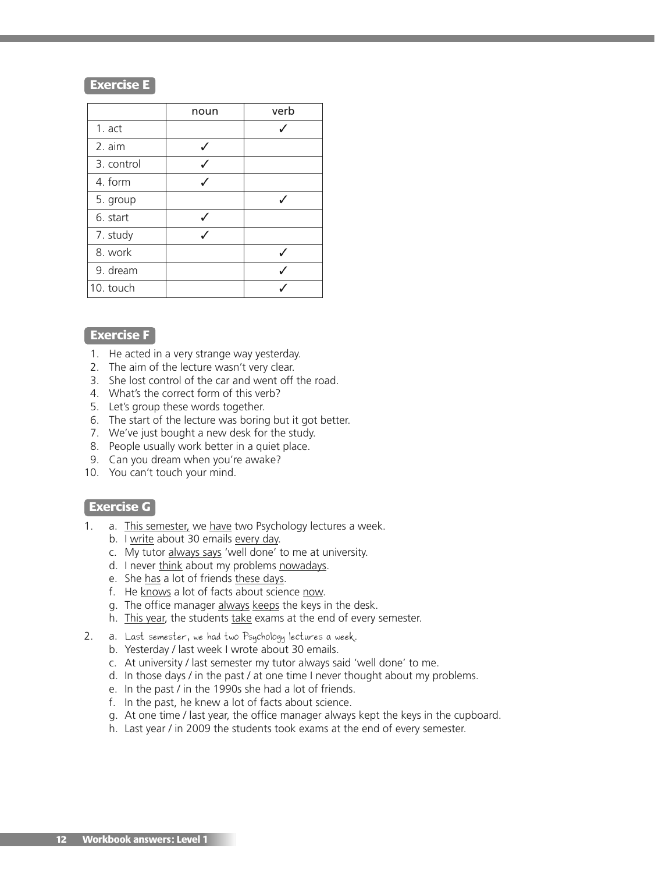#### **Exercise E**

|            | noun | verb |
|------------|------|------|
| $1.$ act   |      |      |
| 2. aim     |      |      |
| 3. control |      |      |
| 4. form    |      |      |
| 5. group   |      |      |
| 6. start   |      |      |
| 7. study   |      |      |
| 8. work    |      |      |
| 9. dream   |      |      |
| 10. touch  |      |      |

#### **Exercise F**

- 1. He acted in a very strange way yesterday.
- 2. The aim of the lecture wasn't very clear.
- 3. She lost control of the car and went off the road.
- 4. What's the correct form of this verb?
- 5. Let's group these words together.
- 6. The start of the lecture was boring but it got better.
- 7. We've just bought a new desk for the study.
- 8. People usually work better in a quiet place.
- 9. Can you dream when you're awake?
- 10. You can't touch your mind.

### **Exercise G**

- 1. a. This semester, we have two Psychology lectures a week.
	- b. I write about 30 emails every day.
	- c. My tutor always says 'well done' to me at university.
	- d. I never think about my problems nowadays.
	- e. She has a lot of friends these days.
	- f. He knows a lot of facts about science now.
	- g. The office manager always keeps the keys in the desk.
	- h. This year, the students take exams at the end of every semester.
- 2. a. Last semester, we had two Psychology lectures a week.
	- b. Yesterday / last week I wrote about 30 emails.
	- c. At university / last semester my tutor always said 'well done' to me.
	- d. In those days / in the past / at one time I never thought about my problems.
	- e. In the past / in the 1990s she had a lot of friends.
	- f. In the past, he knew a lot of facts about science.
	- g. At one time / last year, the office manager always kept the keys in the cupboard.
	- h. Last year / in 2009 the students took exams at the end of every semester.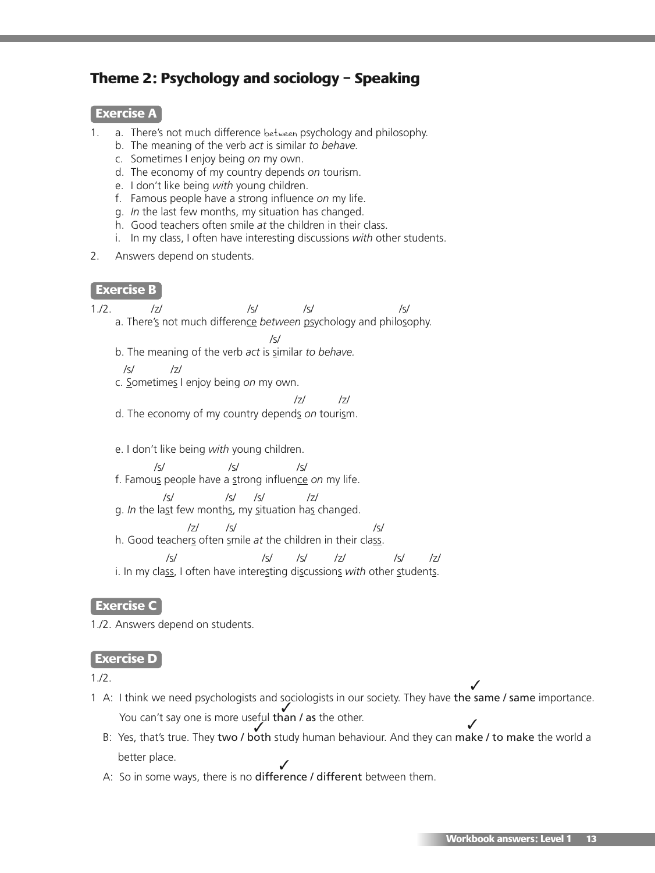### **Theme 2: Psychology and sociology – Speaking**

#### **Exercise A**

- 1. a. There's not much difference between psychology and philosophy.
	- b. The meaning of the verb *act* is similar *to behave.*
	- c. Sometimes I enjoy being *on* my own.
	- d. The economy of my country depends *on* tourism.
	- e. I don't like being *with* young children.
	- f. Famous people have a strong influence *on* my life.
	- g. *In* the last few months, my situation has changed.
	- h. Good teachers often smile *at* the children in their class.
	- i. In my class, I often have interesting discussions *with* other students.
- 2. Answers depend on students.

#### **Exercise B**

- 1./2. /z/ /s/ /s/ /s/ a. There's not much difference *between* psychology and philosophy. /s/ b. The meaning of the verb *act* is similar *to behave.*
	- /s/ /z/
	- c. Sometimes I enjoy being *on* my own.
		- /z/ /z/
	- d. The economy of my country depends *on* tourism.
	- e. I don't like being *with* young children.
	- /s/ /s/ /s/ f. Famous people have a strong influence *on* my life.
		- /s/ /s/ /s/ /z/
	- g. *In* the last few months, my situation has changed.
	- /z/ /s/ /s/ h. Good teachers often smile *at* the children in their class.
	- /s/ /s/ /s/ /z/ /s/ /z/ i. In my class, I often have interesting discussions *with* other students.

#### **Exercise C**

1./2. Answers depend on students.

#### **Exercise D**

1./2.

- 1 A: I think we need psychologists and sociologists in our society. They have the same *I* same importance. You can't say one is more useful than / as the other.  $\checkmark$  $\checkmark$  $\checkmark$ 
	- B: Yes, that's true. They two / both study human behaviour. And they can make / to make the world a better place.  $\checkmark$  $\checkmark$
	- A: So in some ways, there is no **difference / different** between them.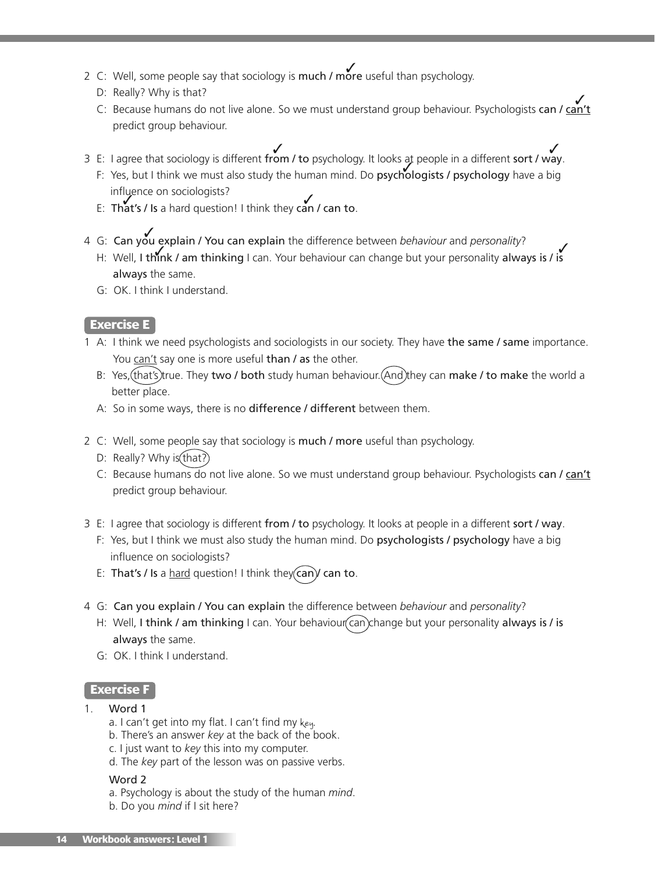- 2 C: Well, some people say that sociology is much / more useful than psychology.
	- D: Really? Why is that?
	- D. Reany: VVIIy IS that:<br>C: Because humans do not live alone. So we must understand group behaviour. Psychologists can / can't predict group behaviour.
- 3 E: I agree that sociology is different from / to psychology. It looks at people in a different sort / way.  $\checkmark$  3  $\checkmark$  3  $\checkmark$  3  $\checkmark$  3  $\checkmark$  3  $\checkmark$  3  $\checkmark$  3  $\checkmark$  3  $\checkmark$  3  $\checkmark$ 
	- F: Yes, but I think we must also study the human mind. Do psychologists / psychology have a big influence on sociologists?  $\checkmark$
	- E: That's / Is a hard question! I think they can / can to.
- 4 G: Can you explain / You can explain the difference between *behaviour* and *personality*? 3
	- H: Well, I think / am thinking I can. Your behaviour can change but your personality always is / is always the same.
	- G: OK. I think I understand.

### **Exercise E**

- 1 A: I think we need psychologists and sociologists in our society. They have the same / same importance. You can't say one is more useful than / as the other.
	- B: Yes, (that's) true. They two / both study human behaviour. (And) they can make / to make the world a better place.
	- A: So in some ways, there is no difference / different between them.
- 2 C: Well, some people say that sociology is much / more useful than psychology.
	- D: Really? Why is  $(\text{that?})$
	- C: Because humans do not live alone. So we must understand group behaviour. Psychologists can / can't predict group behaviour.
- 3 E: I agree that sociology is different from / to psychology. It looks at people in a different sort / way.
	- F: Yes, but I think we must also study the human mind. Do psychologists / psychology have a big influence on sociologists?
	- E: That's / Is a hard question! I think they  $(\text{can})$  can to.
- 4 G: Can you explain / You can explain the difference between *behaviour* and *personality*?
	- H: Well, I think / am thinking I can. Your behaviour can change but your personality always is / is always the same.
	- G: OK. I think I understand.

#### **Exercise F**

- Word 1
	- a. I can't get into my flat. I can't find my key*.*
	- b. There's an answer *key* at the back of the book.
	- c. I just want to *key* this into my computer.
	- d. The *key* part of the lesson was on passive verbs.

#### Word 2

- a. Psychology is about the study of the human *mind*.
- b. Do you *mind* if I sit here?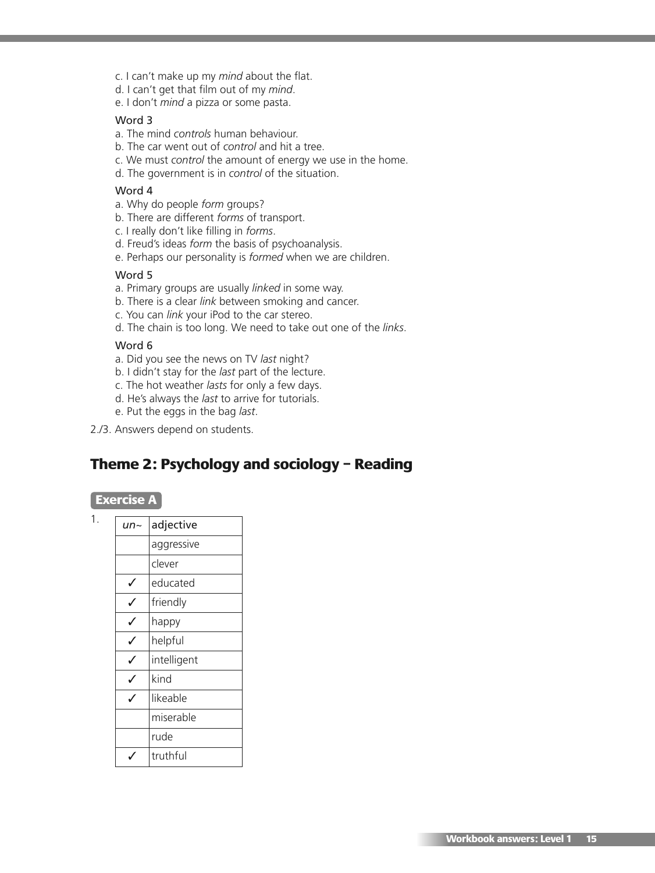- c. I can't make up my *mind* about the flat.
- d. I can't get that film out of my *mind*.
- e. I don't *mind* a pizza or some pasta.

#### Word 3

- a. The mind *controls* human behaviour.
- b. The car went out of *control* and hit a tree.
- c. We must *control* the amount of energy we use in the home.
- d. The government is in *control* of the situation.

#### Word 4

- a. Why do people *form* groups?
- b. There are different *forms* of transport.
- c. I really don't like filling in *forms*.
- d. Freud's ideas *form* the basis of psychoanalysis.
- e. Perhaps our personality is *formed* when we are children.

#### Word 5

- a. Primary groups are usually *linked* in some way.
- b. There is a clear *link* between smoking and cancer.
- c. You can *link* your iPod to the car stereo.
- d. The chain is too long. We need to take out one of the *links*.

#### Word 6

- a. Did you see the news on TV *last* night?
- b. I didn't stay for the *last* part of the lecture.
- c. The hot weather *lasts* for only a few days.
- d. He's always the *last* to arrive for tutorials.
- e. Put the eggs in the bag *last*.

2./3. Answers depend on students.

## **Theme 2: Psychology and sociology – Reading**

#### **Exercise A**

1.

| $\mathsf{u}$ n~ | adjective   |
|-----------------|-------------|
|                 | aggressive  |
|                 | clever      |
|                 | educated    |
|                 | friendly    |
|                 | happy       |
|                 | helpful     |
|                 | intelligent |
|                 | kind        |
| ./              | likeable    |
|                 | miserable   |
|                 | rude        |
|                 | truthful    |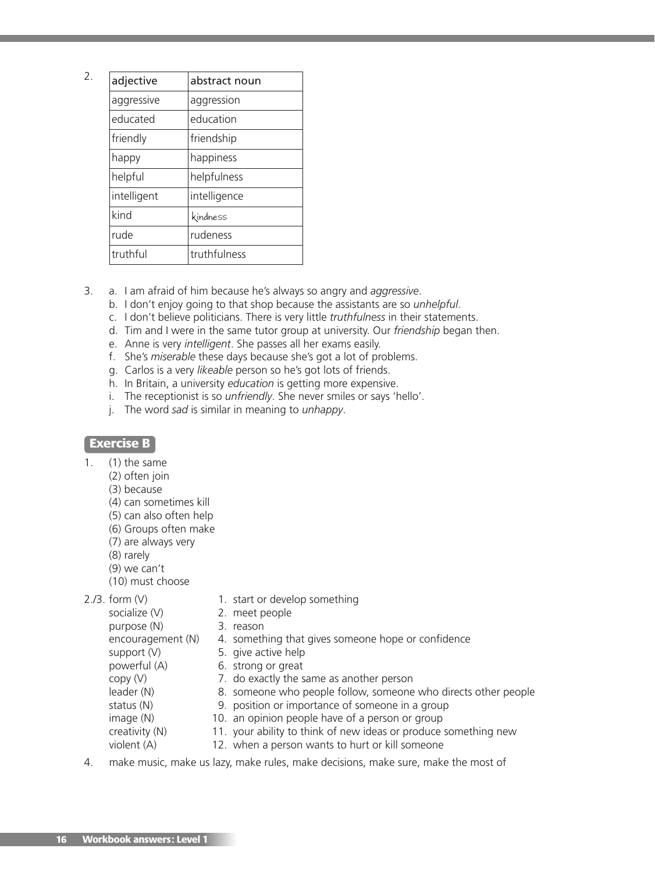| $\mathcal{P}$ | adjective   | abstract noun |
|---------------|-------------|---------------|
|               | aggressive  | aggression    |
|               | educated    | education     |
|               | friendly    | friendship    |
|               | happy       | happiness     |
|               | helpful     | helpfulness   |
|               | intelligent | intelligence  |
|               | kind        | kindness      |
|               | rude        | rudeness      |
|               | truthful    | truthfulness  |

- 3. a. I am afraid of him because he's always so angry and *aggressive*.
	- b. I don't enjoy going to that shop because the assistants are so *unhelpful*.
	- c. I don't believe politicians. There is very little *truthfulness* in their statements.
	- d. Tim and I were in the same tutor group at university. Our *friendship* began then.
	- e. Anne is very *intelligent*. She passes all her exams easily.
	- f. She's *miserable* these days because she's got a lot of problems.
	- g. Carlos is a very *likeable* person so he's got lots of friends.
	- h. In Britain, a university *education* is getting more expensive.
	- i. The receptionist is so *unfriendly*. She never smiles or says 'hello'.
	- j. The word *sad* is similar in meaning to *unhappy*.

#### **Exercise B**

- 1. (1) the same
	- (2) often join
	- (3) because
	- (4) can sometimes kill
	- (5) can also often help
	- (6) Groups often make
	- (7) are always very
	- (8) rarely
	- (9) we can't
	- (10) must choose

#### $2.73.$  form  $(V)$  1. start or develop something

| socialize (V)     | 2. meet people                                                  |
|-------------------|-----------------------------------------------------------------|
| purpose (N)       | 3. reason                                                       |
| encouragement (N) | 4. something that gives someone hope or confidence              |
| support $(V)$     | 5. give active help                                             |
| powerful (A)      | 6. strong or great                                              |
| copy(V)           | 7. do exactly the same as another person                        |
| leader (N)        | 8. someone who people follow, someone who directs other people  |
| status $(N)$      | 9. position or importance of someone in a group                 |
| image (N)         | 10. an opinion people have of a person or group                 |
| creativity (N)    | 11. your ability to think of new ideas or produce something new |
| violent (A)       | 12. when a person wants to hurt or kill someone                 |
|                   |                                                                 |

4. make music, make us lazy, make rules, make decisions, make sure, make the most of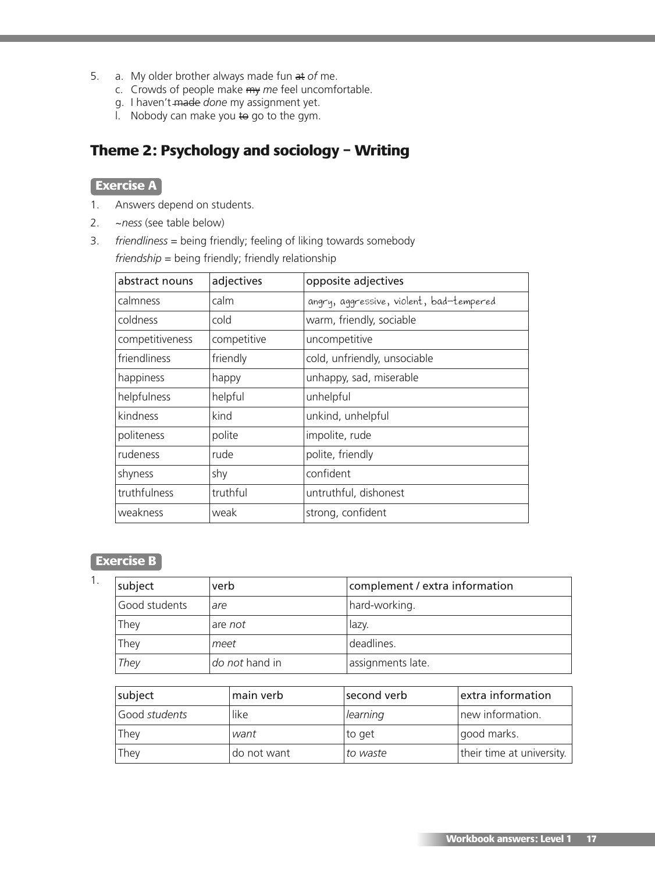- 5. a. My older brother always made fun at *of* me.
	- c. Crowds of people make my *me* feel uncomfortable.
	- g. I haven't made *done* my assignment yet.
	- I. Nobody can make you  $\leftrightarrow$  go to the gym.

# **Theme 2: Psychology and sociology – Writing**

### **Exercise A**

- 1. Answers depend on students.
- 2. *~ness* (see table below)
- 3. *friendliness* = being friendly; feeling of liking towards somebody *friendship* = being friendly; friendly relationship

| abstract nouns  | adjectives  | opposite adjectives                      |
|-----------------|-------------|------------------------------------------|
| calmness        | calm        | angry, aggressive, violent, bad-tempered |
| coldness        | cold        | warm, friendly, sociable                 |
| competitiveness | competitive | uncompetitive                            |
| friendliness    | friendly    | cold, unfriendly, unsociable             |
| happiness       | happy       | unhappy, sad, miserable                  |
| helpfulness     | helpful     | unhelpful                                |
| kindness        | kind        | unkind, unhelpful                        |
| politeness      | polite      | impolite, rude                           |
| rudeness        | rude        | polite, friendly                         |
| shyness         | shy         | confident                                |
| truthfulness    | truthful    | untruthful, dishonest                    |
| weakness        | weak        | strong, confident                        |

### **Exercise B**

| subject       | verb                    | complement / extra information |
|---------------|-------------------------|--------------------------------|
| Good students | are                     | hard-working.                  |
| They          | are not                 | lazy.                          |
| They          | meet                    | deadlines.                     |
| They          | l <i>do not</i> hand in | assignments late.              |

| subject       | main verb   | second verb | extra information         |
|---------------|-------------|-------------|---------------------------|
| Good students | like        | learning    | new information.          |
| They          | want        | to get      | good marks.               |
| They          | do not want | to waste    | their time at university. |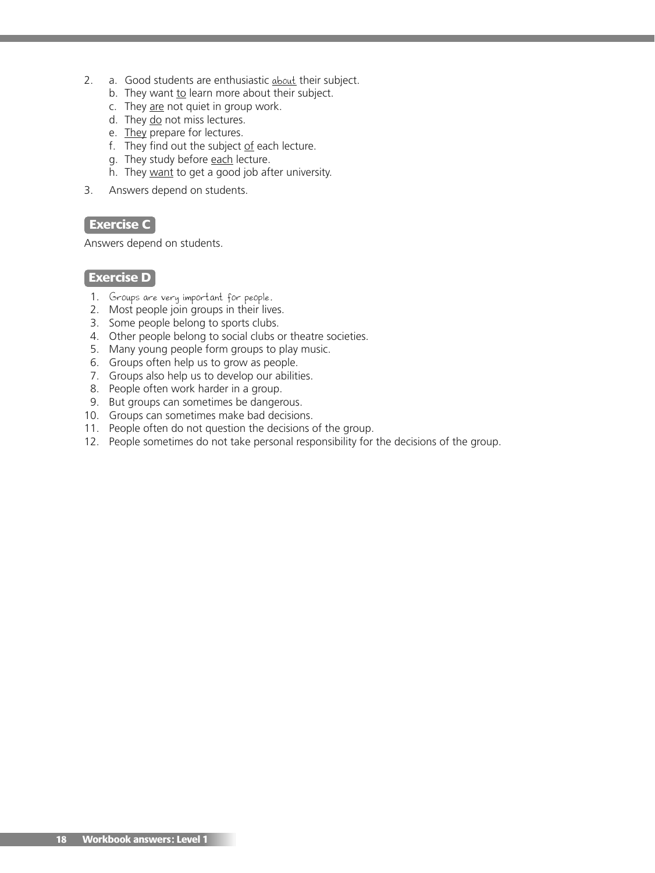- 2. a. Good students are enthusiastic about their subject.
	- b. They want to learn more about their subject.
	- c. They are not quiet in group work.
	- d. They do not miss lectures.
	- e. They prepare for lectures.
	- f. They find out the subject  $of$  each lecture.
	- g. They study before each lecture.
	- h. They want to get a good job after university.
- 3. Answers depend on students.

Answers depend on students.

#### **Exercise D**

- 1. Groups are very important for people.
- 2. Most people join groups in their lives.
- 3. Some people belong to sports clubs.
- 4. Other people belong to social clubs or theatre societies.
- 5. Many young people form groups to play music.
- 6. Groups often help us to grow as people.
- 7. Groups also help us to develop our abilities.
- 8. People often work harder in a group.
- 9. But groups can sometimes be dangerous.
- 10. Groups can sometimes make bad decisions.
- 11. People often do not question the decisions of the group.
- 12. People sometimes do not take personal responsibility for the decisions of the group.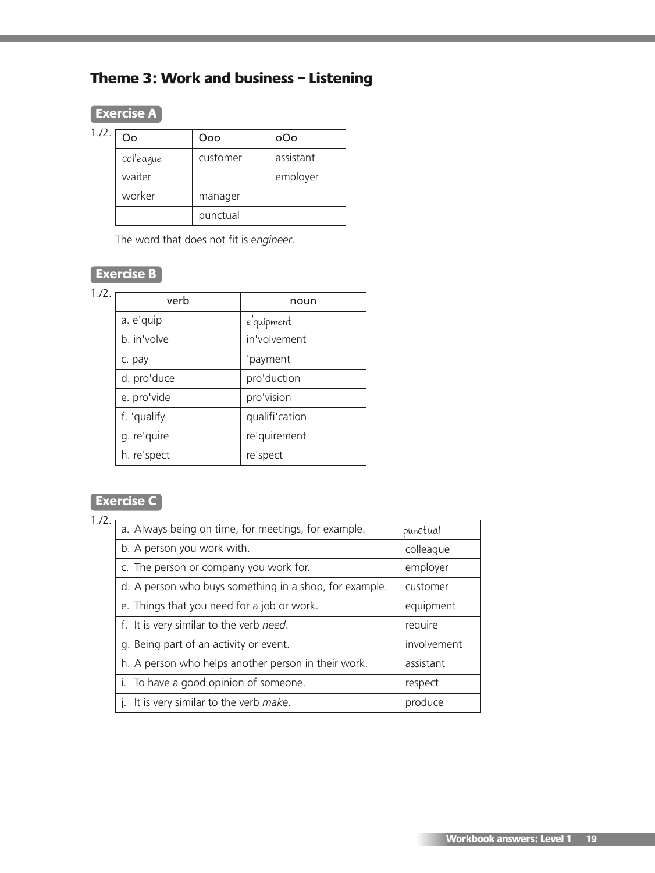# **Theme 3: Work and business – Listening**

### **Exercise A**

Oo Ooo oOo colleague | customer | assistant waiter | employer worker manager punctual  $1.12.$ 

The word that does not fit is e*ngineer*.

### **Exercise B**

| $1/2$ . |             |                |  |
|---------|-------------|----------------|--|
|         | verb        | noun           |  |
|         | a. e'quip   | e'quipment     |  |
|         | b. in'volve | in'volvement   |  |
|         | c. pay      | 'payment       |  |
|         | d. pro'duce | pro'duction    |  |
|         | e. pro'vide | pro'vision     |  |
|         | f. 'qualify | qualifi'cation |  |
|         | g. re'quire | re'quirement   |  |
|         | h. re'spect | re'spect       |  |

### **Exercise C**

| 1.72. |                                                        |             |
|-------|--------------------------------------------------------|-------------|
|       | a. Always being on time, for meetings, for example.    | punctual    |
|       | b. A person you work with.                             | colleague   |
|       | c. The person or company you work for.                 | employer    |
|       | d. A person who buys something in a shop, for example. | customer    |
|       | e. Things that you need for a job or work.             | equipment   |
|       | f. It is very similar to the verb need.                | require     |
|       | g. Being part of an activity or event.                 | involvement |
|       | h. A person who helps another person in their work.    | assistant   |
|       | i. To have a good opinion of someone.                  | respect     |
|       | It is very similar to the verb make.                   | produce     |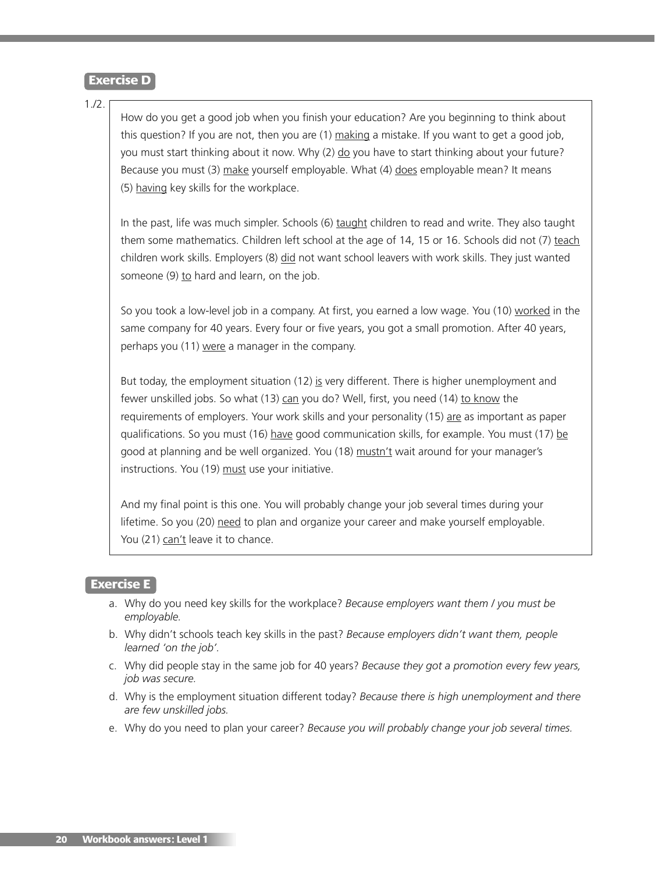#### **Exercise D**

1./2.

How do you get a good job when you finish your education? Are you beginning to think about this question? If you are not, then you are (1) making a mistake. If you want to get a good job, you must start thinking about it now. Why (2) do you have to start thinking about your future? Because you must (3) make yourself employable. What (4) does employable mean? It means (5) having key skills for the workplace.

In the past, life was much simpler. Schools (6) taught children to read and write. They also taught them some mathematics. Children left school at the age of 14, 15 or 16. Schools did not (7) teach children work skills. Employers (8) did not want school leavers with work skills. They just wanted someone (9) to hard and learn, on the job.

So you took a low-level job in a company. At first, you earned a low wage. You (10) worked in the same company for 40 years. Every four or five years, you got a small promotion. After 40 years, perhaps you (11) were a manager in the company.

But today, the employment situation (12) is very different. There is higher unemployment and fewer unskilled jobs. So what (13) can you do? Well, first, you need (14) to know the requirements of employers. Your work skills and your personality (15) are as important as paper qualifications. So you must (16) have good communication skills, for example. You must (17) be good at planning and be well organized. You (18) mustn't wait around for your manager's instructions. You (19) must use your initiative.

And my final point is this one. You will probably change your job several times during your lifetime. So you (20) need to plan and organize your career and make yourself employable. You (21) can't leave it to chance.

#### **Exercise E**

- a. Why do you need key skills for the workplace? *Because employers want them / you must be employable.*
- b. Why didn't schools teach key skills in the past? *Because employers didn't want them, people learned 'on the job'.*
- c. Why did people stay in the same job for 40 years? *Because they got a promotion every few years, job was secure.*
- d. Why is the employment situation different today? *Because there is high unemployment and there are few unskilled jobs.*
- e. Why do you need to plan your career? *Because you will probably change your job several times.*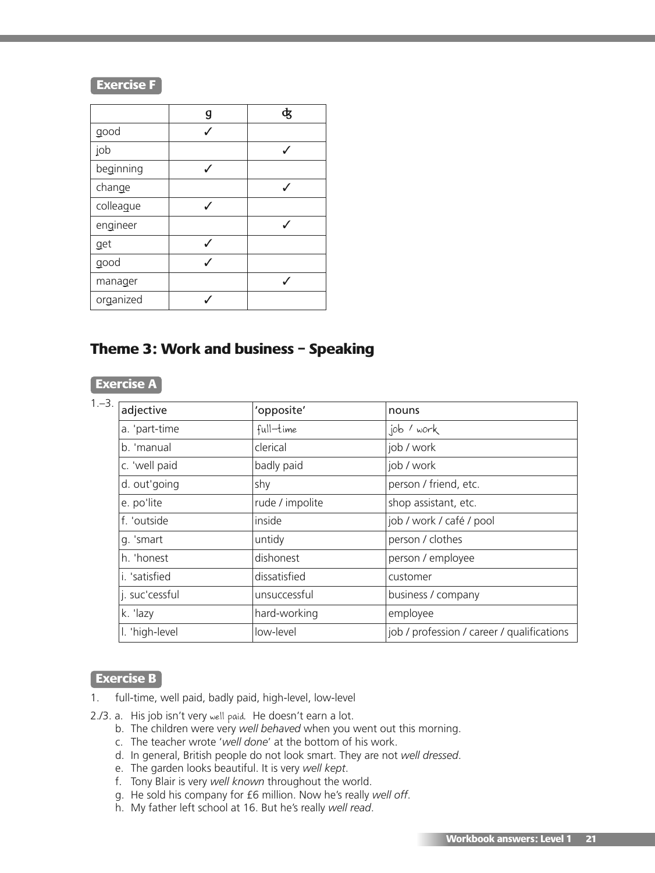#### **Exercise F**

|           | g | фz |
|-----------|---|----|
| good      |   |    |
| job       |   |    |
| beginning |   |    |
| change    |   |    |
| colleague |   |    |
| engineer  |   |    |
| get       |   |    |
| good      |   |    |
| manager   |   |    |
| organized |   |    |
|           |   |    |

### **Theme 3: Work and business – Speaking**

### **Exercise A**

| $1.-3.$        |                 |                                            |
|----------------|-----------------|--------------------------------------------|
| adjective      | 'opposite'      | nouns                                      |
| a. 'part-time  | full-time       | job / work                                 |
| b. 'manual     | clerical        | job / work                                 |
| c. 'well paid  | badly paid      | job / work                                 |
| d. out'going   | shy             | person / friend, etc.                      |
| e. po'lite     | rude / impolite | shop assistant, etc.                       |
| f. 'outside    | inside          | job / work / café / pool                   |
| g. 'smart      | untidy          | person / clothes                           |
| h. 'honest     | dishonest       | person / employee                          |
| i. 'satisfied  | dissatisfied    | customer                                   |
| j. suc'cessful | unsuccessful    | business / company                         |
| k. 'lazy       | hard-working    | employee                                   |
| . 'high-level  | low-level       | job / profession / career / qualifications |

#### **Exercise B**

- 1. full-time, well paid, badly paid, high-level, low-level
- 2./3. a. His job isn't very well paid*.* He doesn't earn a lot.
	- b. The children were very *well behaved* when you went out this morning.
	- c. The teacher wrote '*well done*' at the bottom of his work.
	- d. In general, British people do not look smart. They are not *well dressed*.
	- e. The garden looks beautiful. It is very *well kept*.
	- f. Tony Blair is very *well known* throughout the world.
	- g. He sold his company for £6 million. Now he's really *well off*.
	- h. My father left school at 16. But he's really *well read*.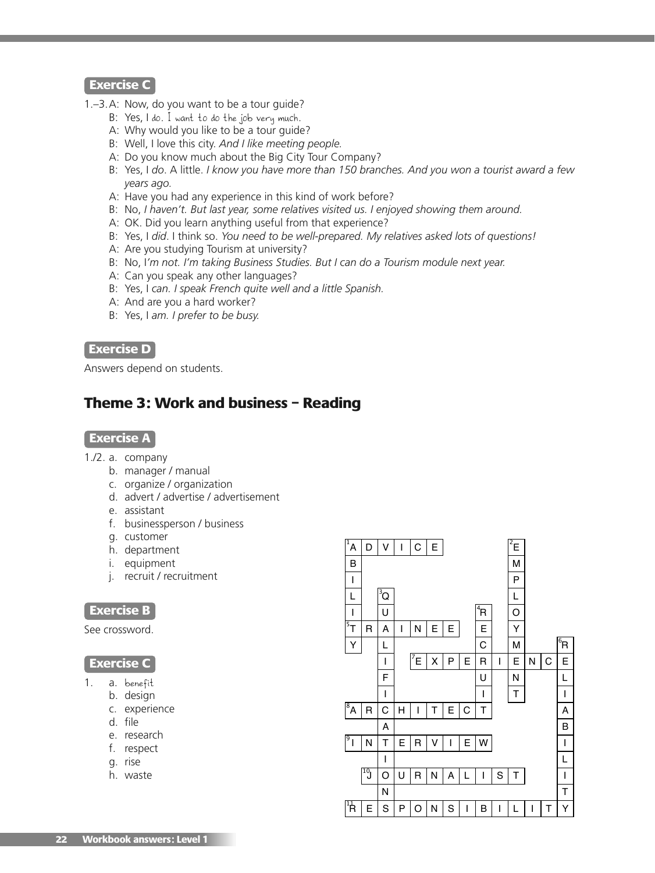- 1.–3.A: Now, do you want to be a tour guide?
	- B: Yes, I do. I want to do the job very much.
	- A: Why would you like to be a tour guide?
	- B: Well, I love this city. *And I like meeting people.*
	- A: Do you know much about the Big City Tour Company?
	- B: Yes, I *do*. A little. *I know you have more than 150 branches. And you won a tourist award a few years ago.*
	- A: Have you had any experience in this kind of work before?
	- B: No, *I haven't. But last year, some relatives visited us. I enjoyed showing them around.*
	- A: OK. Did you learn anything useful from that experience?
	- B: Yes, I *did*. I think so. *You need to be well-prepared. My relatives asked lots of questions!*
	- A: Are you studying Tourism at university?
	- B: No, I*'m not. I'm taking Business Studies. But I can do a Tourism module next year.*
	- A: Can you speak any other languages?
	- B: Yes, I *can. I speak French quite well and a little Spanish.*
	- A: And are you a hard worker?
	- B: Yes, I *am. I prefer to be busy.*

#### **Exercise D**

Answers depend on students.

# **Theme 3: Work and business – Reading**

#### **Exercise A**

- 1./2. a. company
	- b. manager / manual
	- c. organize / organization
	- d. advert / advertise / advertisement
	- e. assistant
	- f. businessperson / business
	- g. customer
	- h. department
	- i. equipment
	- j. recruit / recruitment

#### **Exercise B**

See crossword.

#### **Exercise C**

- 1. a. benefit
	- b. design
	- c. experience
	- d. file
	- e. research
	- f. respect
	- g. rise
	- h. waste

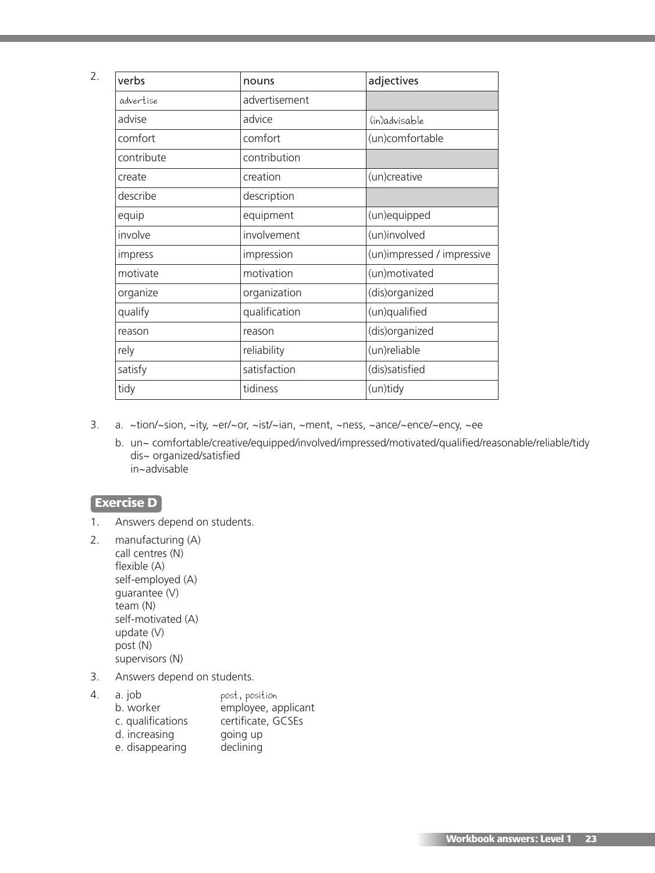| v<br>×.  |  |  |
|----------|--|--|
| ×<br>. . |  |  |

| nouns         | adjectives                 |
|---------------|----------------------------|
| advertisement |                            |
| advice        | (in)advisable              |
| comfort       | (un)comfortable            |
| contribution  |                            |
| creation      | (un)creative               |
| description   |                            |
| equipment     | (un)equipped               |
| involvement   | (un)involved               |
| impression    | (un)impressed / impressive |
| motivation    | (un)motivated              |
| organization  | (dis)organized             |
| qualification | (un)qualified              |
| reason        | (dis)organized             |
| reliability   | (un)reliable               |
| satisfaction  | (dis)satisfied             |
| tidiness      | (un)tidy                   |
|               |                            |

- 3. a. ~tion/~sion, ~ity, ~er/~or, ~ist/~ian, ~ment, ~ness, ~ance/~ence/~ency, ~ee
	- b. un~ comfortable/creative/equipped/involved/impressed/motivated/qualified/reasonable/reliable/tidy dis~ organized/satisfied in~advisable

#### **Exercise D**

- 1. Answers depend on students.
- 2. manufacturing (A) call centres (N) flexible (A) self-employed (A) guarantee (V) team (N) self-motivated (A) update (V) post (N) supervisors (N)
- 3. Answers depend on students.
- 4. a. job post, position b. worker employee, applicant c. qualifications certificate, GCSEs d. increasing going up e. disappearing declining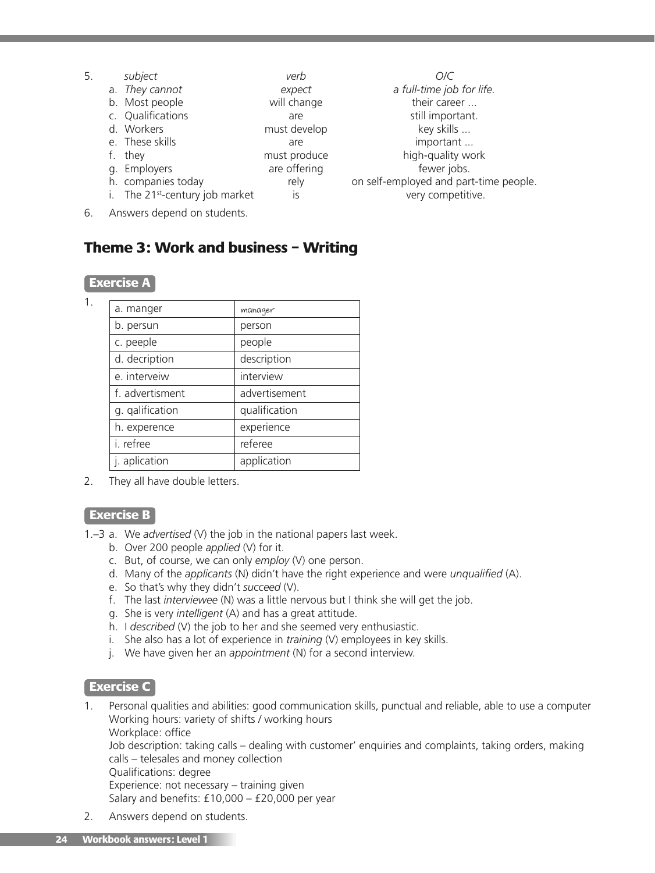| 5. | subject                                  | verb         | O/C                                    |
|----|------------------------------------------|--------------|----------------------------------------|
|    | a. They cannot                           | expect       | a full-time job for life.              |
|    | b. Most people                           | will change  | their career                           |
|    | c. Qualifications                        | are          | still important.                       |
|    | d. Workers                               | must develop | key skills                             |
|    | e. These skills                          | are          | important                              |
|    | f. they                                  | must produce | high-quality work                      |
|    | g. Employers                             | are offering | fewer jobs.                            |
|    | h. companies today                       | rely         | on self-employed and part-time people. |
|    | The 21 <sup>st</sup> -century job market | <b>IS</b>    | very competitive.                      |

6. Answers depend on students.

### **Theme 3: Work and business – Writing**

#### **Exercise A**

| $\mathbf{1}$ . |                 |               |
|----------------|-----------------|---------------|
|                | a. manger       | manager       |
|                | b. persun       | person        |
|                | c. peeple       | people        |
|                | d. decription   | description   |
|                | e. interveiw    | interview     |
|                | f. advertisment | advertisement |
|                | g. qalification | qualification |
|                | h. experence    | experience    |
|                | i. refree       | referee       |
|                | j. aplication   | application   |
|                |                 |               |

2. They all have double letters.

#### **Exercise B**

- 1.–3 a. We *advertised* (V) the job in the national papers last week.
	- b. Over 200 people *applied* (V) for it.
	- c. But, of course, we can only *employ* (V) one person.
	- d. Many of the *applicants* (N) didn't have the right experience and were *unqualified* (A).
	- e. So that's why they didn't *succeed* (V).
	- f. The last *interviewee* (N) was a little nervous but I think she will get the job.
	- g. She is very *intelligent* (A) and has a great attitude.
	- h. I *described* (V) the job to her and she seemed very enthusiastic.
	- i. She also has a lot of experience in *training* (V) employees in key skills.
	- j. We have given her an *appointment* (N) for a second interview.

#### **Exercise C**

1. Personal qualities and abilities: good communication skills, punctual and reliable, able to use a computer Working hours: variety of shifts / working hours Workplace: office

Job description: taking calls – dealing with customer' enquiries and complaints, taking orders, making calls – telesales and money collection

Qualifications: degree

Experience: not necessary – training given

Salary and benefits: £10,000 – £20,000 per year

2. Answers depend on students.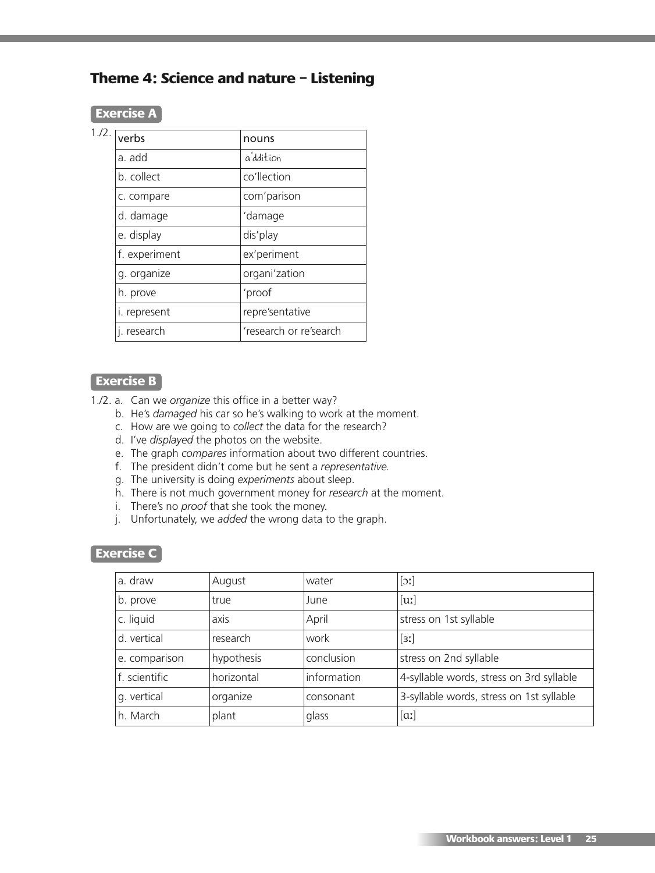### **Theme 4: Science and nature – Listening**

### **Exercise A**

1./2.

| verbs               | nouns                  |
|---------------------|------------------------|
| a. add              | a'ddition              |
| b. collect          | co'llection            |
| c. compare          | com'parison            |
| d. damage           | 'damage                |
| e. display          | dis'play               |
| f. experiment       | ex'periment            |
| g. organize         | organi'zation          |
| h. prove            | 'proof                 |
| <i>i.</i> represent | repre'sentative        |
| j. research         | 'research or re'search |

### **Exercise B**

- 1./2. a. Can we *organize* this office in a better way?
	- b. He's *damaged* his car so he's walking to work at the moment.
	- c. How are we going to *collect* the data for the research?
	- d. I've *displayed* the photos on the website.
	- e. The graph *compares* information about two different countries.
	- f. The president didn't come but he sent a *representative.*
	- g. The university is doing *experiments* about sleep.
	- h. There is not much government money for *research* at the moment.
	- i. There's no *proof* that she took the money.
	- j. Unfortunately, we *added* the wrong data to the graph.

### **Exercise C**

| a. draw       | August     | water       | [xc]                                     |
|---------------|------------|-------------|------------------------------------------|
| b. prove      | true       | June        | [uz]                                     |
| c. liquid     | axis       | April       | stress on 1st syllable                   |
| d. vertical   | research   | work        | [3]                                      |
| e. comparison | hypothesis | conclusion  | stress on 2nd syllable                   |
| f. scientific | horizontal | information | 4-syllable words, stress on 3rd syllable |
| g. vertical   | organize   | consonant   | 3-syllable words, stress on 1st syllable |
| h. March      | plant      | glass       | $[\alpha]$                               |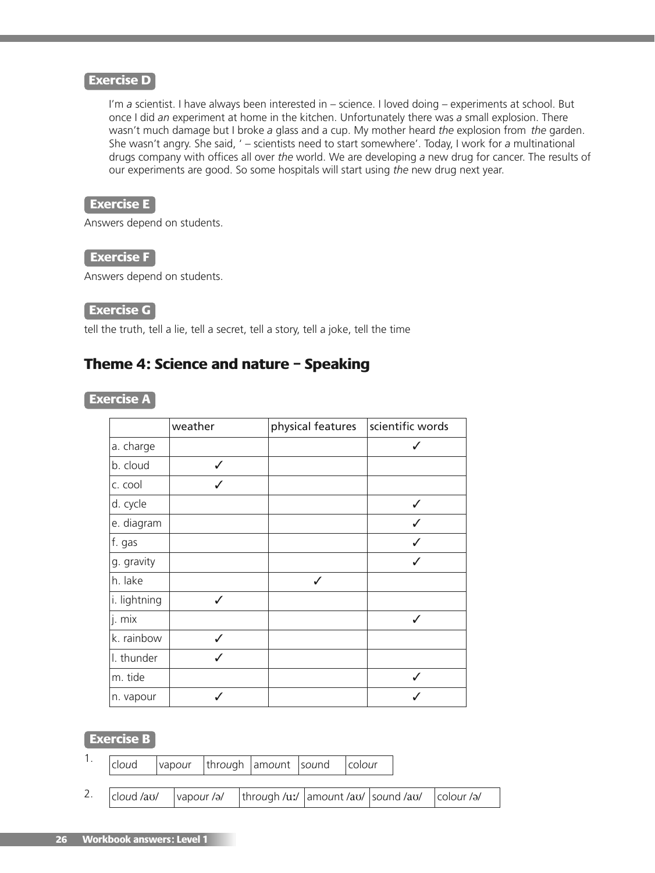### **Exercise D**

I'm *a* scientist. I have always been interested in *–* science. I loved doing *–* experiments at school. But once I did *an* experiment at home in the kitchen. Unfortunately there was *a* small explosion. There wasn't much damage but I broke *a* glass and a cup. My mother heard *the* explosion from *the* garden. She wasn't angry. She said, ' *–* scientists need to start somewhere'. Today, I work for *a* multinational drugs company with offices all over *the* world. We are developing *a* new drug for cancer. The results of our experiments are good. So some hospitals will start using *the* new drug next year.

#### **Exercise E**

Answers depend on students.

#### **Exercise F**

Answers depend on students.

#### **Exercise G**

tell the truth, tell a lie, tell a secret, tell a story, tell a joke, tell the time

### **Theme 4: Science and nature – Speaking**

#### **Exercise A**

|              | weather      | physical features | scientific words |
|--------------|--------------|-------------------|------------------|
| a. charge    |              |                   |                  |
| b. cloud     | $\checkmark$ |                   |                  |
| c. cool      |              |                   |                  |
| d. cycle     |              |                   | J                |
| e. diagram   |              |                   |                  |
| f. gas       |              |                   |                  |
| g. gravity   |              |                   |                  |
| h. lake      |              | ✓                 |                  |
| i. lightning |              |                   |                  |
| j. mix       |              |                   | ✓                |
| k. rainbow   |              |                   |                  |
| I. thunder   | ✓            |                   |                  |
| m. tide      |              |                   |                  |
| n. vapour    |              |                   |                  |

#### **Exercise B**

|    | cloud |  | $\sqrt{\frac{1}{1}}$ vapour $\frac{1}{1}$ through $\frac{1}{2}$ amount $\frac{1}{2}$ sound $\frac{1}{2}$ colour                           |  |  |  |
|----|-------|--|-------------------------------------------------------------------------------------------------------------------------------------------|--|--|--|
| 2. |       |  | $\sqrt{2}$ cloud /aʊ/ $\sqrt{2}$ $\sqrt{3}$ / $\sqrt{2}$ through /uː/ $\sqrt{2}$ amount /aʊ/ $\sqrt{2}$ /sound /aʊ/ $\sqrt{2}$ colour /ə/ |  |  |  |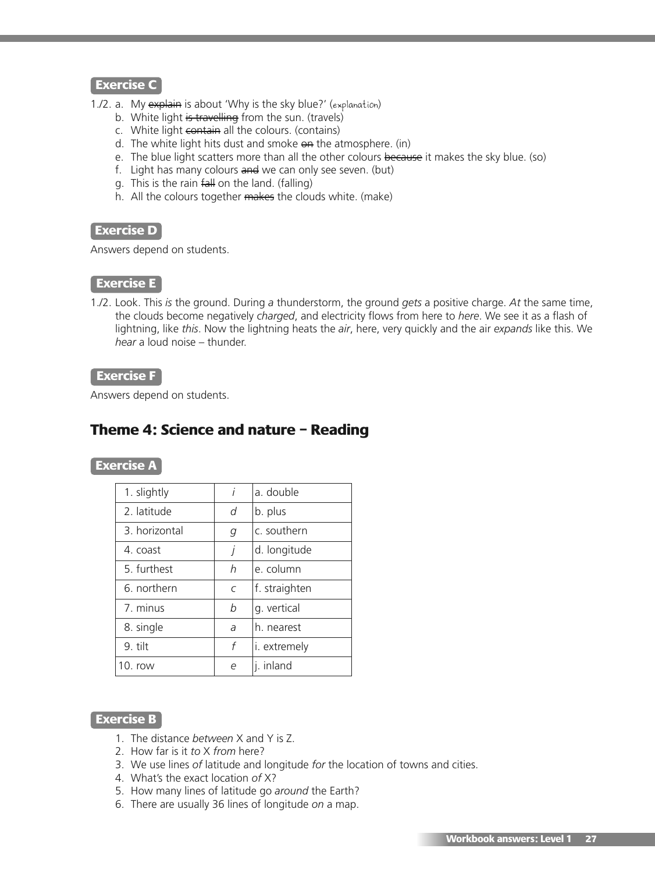- 1./2. a. My explain is about 'Why is the sky blue?' (explanation)
	- b. White light is travelling from the sun. (travels)
	- c. White light contain all the colours. (contains)
	- d. The white light hits dust and smoke on the atmosphere. (in)
	- e. The blue light scatters more than all the other colours because it makes the sky blue. (so)
	- f. Light has many colours and we can only see seven. (but)
	- g. This is the rain fall on the land. (falling)
	- h. All the colours together makes the clouds white. (make)

### **Exercise D**

Answers depend on students.

#### **Exercise E**

1./2. Look. This *is* the ground. During *a* thunderstorm, the ground *gets* a positive charge. *At* the same time, the clouds become negatively *charged*, and electricity flows from here to *here*. We see it as a flash of lightning, like *this*. Now the lightning heats the *air*, here, very quickly and the air *expands* like this. We *hear* a loud noise – thunder.

#### **Exercise F**

Answers depend on students.

### **Theme 4: Science and nature – Reading**

#### **Exercise A**

| 1. slightly   | i          | a. double           |
|---------------|------------|---------------------|
| 2. latitude   | d          | b. plus             |
| 3. horizontal | q          | c. southern         |
| 4. coast      | İ          | d. longitude        |
| 5. furthest   | h          | e. column           |
| 6. northern   | $\epsilon$ | f. straighten       |
| 7. minus      | h          | g. vertical         |
| 8. single     | a          | h. nearest          |
| 9. tilt       | f          | <i>i.</i> extremely |
| $10.$ row     | e          | j. inland           |

#### **Exercise B**

- 1. The distance *between* X and Y is Z.
- 2. How far is it *to* X *from* here?
- 3. We use lines *of* latitude and longitude *for* the location of towns and cities.
- 4. What's the exact location *of* X?
- 5. How many lines of latitude go *around* the Earth?
- 6. There are usually 36 lines of longitude *on* a map.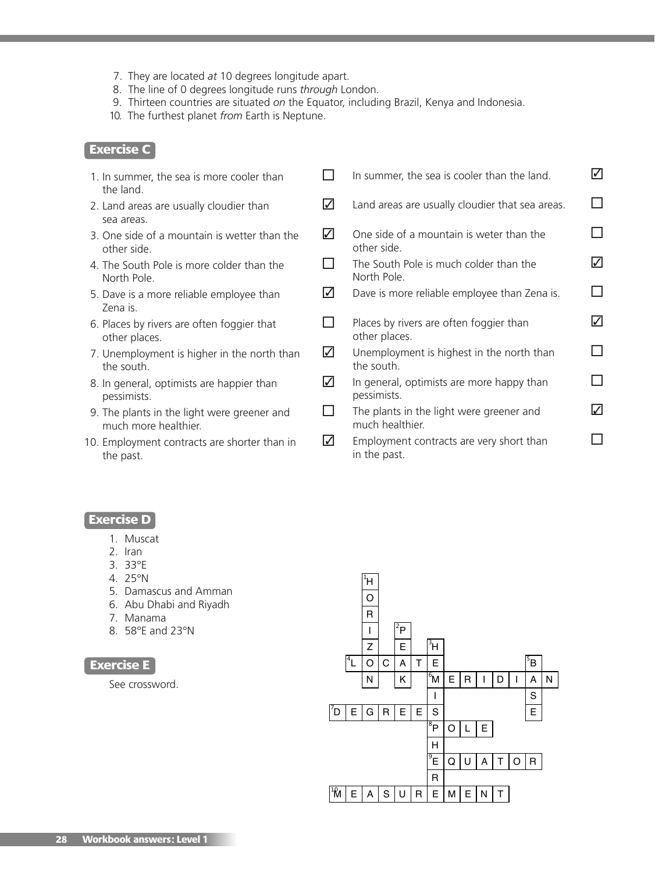- 7. They are located *at* 10 degrees longitude apart.
- 8. The line of 0 degrees longitude runs *through* London.
- 9. Thirteen countries are situated *on* the Equator, including Brazil, Kenya and Indonesia.
- 10. The furthest planet *from* Earth is Neptune.

- 1. In summer, the sea is more cooler than  $\Box$ the land.
- 2. Land areas are usually cloudier than sea areas.
- 3. One side of a mountain is wetter than the other side.
- 4. The South Pole is more colder than the  $\Box$ North Pole.
- 5. Dave is a more reliable employee than Zena is.
- 6. Places by rivers are often foggier that  $\Box$ other places.
- 7. Unemployment is higher in the north than the south.
- 8. In general, optimists are happier than pessimists.
- 9. The plants in the light were greener and  $\Box$ much more healthier.
- 10. Employment contracts are shorter than in the past.

|           | In summer, the sea is cooler than the land.                 | ☑                                                                                                                                                                                                                                                                                                                                                                                                                                                         |
|-----------|-------------------------------------------------------------|-----------------------------------------------------------------------------------------------------------------------------------------------------------------------------------------------------------------------------------------------------------------------------------------------------------------------------------------------------------------------------------------------------------------------------------------------------------|
| $\sqrt{}$ | Land areas are usually cloudier that sea areas.             |                                                                                                                                                                                                                                                                                                                                                                                                                                                           |
| $\sqrt{}$ | One side of a mountain is weter than the<br>other side.     |                                                                                                                                                                                                                                                                                                                                                                                                                                                           |
|           | The South Pole is much colder than the<br>North Pole.       | $\checkmark$                                                                                                                                                                                                                                                                                                                                                                                                                                              |
| ⊻         | Dave is more reliable employee than Zena is.                |                                                                                                                                                                                                                                                                                                                                                                                                                                                           |
|           | Places by rivers are often foggier than<br>other places.    | $\mathcal{U}% _{0}=\mathcal{U}_{0}=\mathcal{U}_{0}=\mathcal{U}_{0}=\mathcal{U}_{0}=\mathcal{U}_{0}=\mathcal{U}_{0}=\mathcal{U}_{0}=\mathcal{U}_{0}=\mathcal{U}_{0}=\mathcal{U}_{0}=\mathcal{U}_{0}=\mathcal{U}_{0}=\mathcal{U}_{0}=\mathcal{U}_{0}=\mathcal{U}_{0}=\mathcal{U}_{0}=\mathcal{U}_{0}=\mathcal{U}_{0}=\mathcal{U}_{0}=\mathcal{U}_{0}=\mathcal{U}_{0}=\mathcal{U}_{0}=\mathcal{U}_{0}=\mathcal{U}_{0}=\mathcal{U}_{0}=\mathcal{U}_{0}=\math$ |
| ☑         | Unemployment is highest in the north than<br>the south.     |                                                                                                                                                                                                                                                                                                                                                                                                                                                           |
| M         | In general, optimists are more happy than<br>pessimists.    |                                                                                                                                                                                                                                                                                                                                                                                                                                                           |
|           | The plants in the light were greener and<br>much healthier. | ✓                                                                                                                                                                                                                                                                                                                                                                                                                                                         |
| $\sqrt{}$ | Employment contracts are very short than<br>in the past.    |                                                                                                                                                                                                                                                                                                                                                                                                                                                           |

#### **Exercise D**

- 1. Muscat
- 2. Iran
- 3. 33°E
- 4. 25°N
- 5. Damascus and Amman
- 6. Abu Dhabi and Riyadh
- 7. Manama
- 8. 58°E and 23°N

#### **Exercise E**

See crossword.

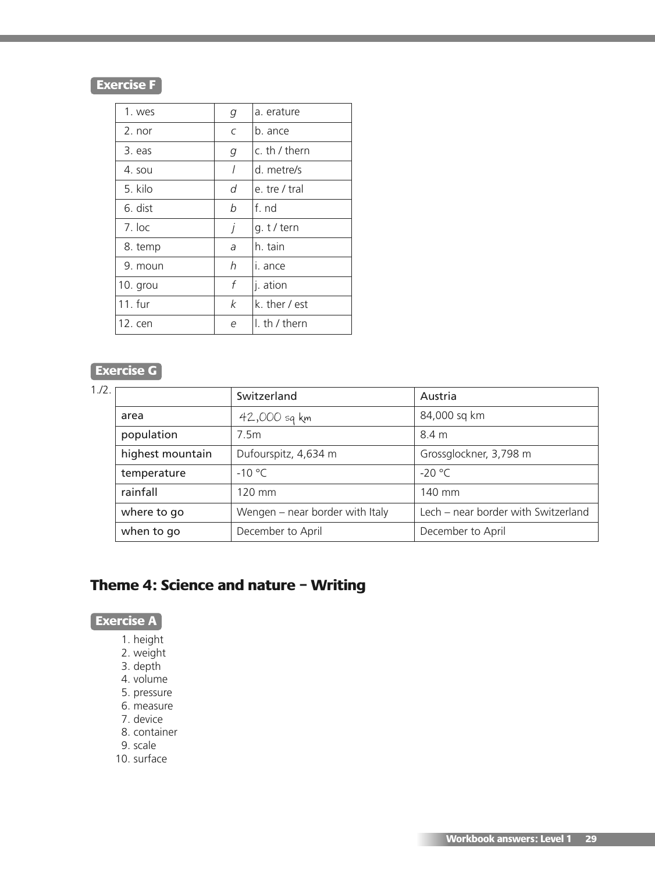### **Exercise F**

| 1. wes   | g          | a. erature    |
|----------|------------|---------------|
| 2. nor   | $\epsilon$ | b. ance       |
| 3. eas   | g          | c. th / thern |
| 4. sou   | I          | d. metre/s    |
| 5. kilo  | d          | e. tre / tral |
| 6. dist  | b          | f. nd         |
| $7.$ loc | j          | g.t/tern      |
| 8. temp  | a          | h. tain       |
| 9. moun  | h          | i. ance       |
| 10. grou | f          | j. ation      |
| 11. fur  | k          | k. ther / est |
| 12. cen  | e          | I. th / thern |

### **Exercise G**

### 1./2.

|                  | Switzerland                     | Austria                             |
|------------------|---------------------------------|-------------------------------------|
| area             | 42,000 sq km                    | 84,000 sq km                        |
| population       | 7.5m                            | 8.4 m                               |
| highest mountain | Dufourspitz, 4,634 m            | Grossglockner, 3,798 m              |
| temperature      | $-10 °C$                        | $-20 °C$                            |
| rainfall         | 120 mm                          | 140 mm                              |
| where to go      | Wengen - near border with Italy | Lech - near border with Switzerland |
| when to go       | December to April               | December to April                   |

# **Theme 4: Science and nature – Writing**

### **Exercise A**

- 1. height
- 2. weight
- 3. depth
- 4. volume
- 5. pressure 6. measure
- 7. device
- 8. container
- 9. scale
- 
- 10. surface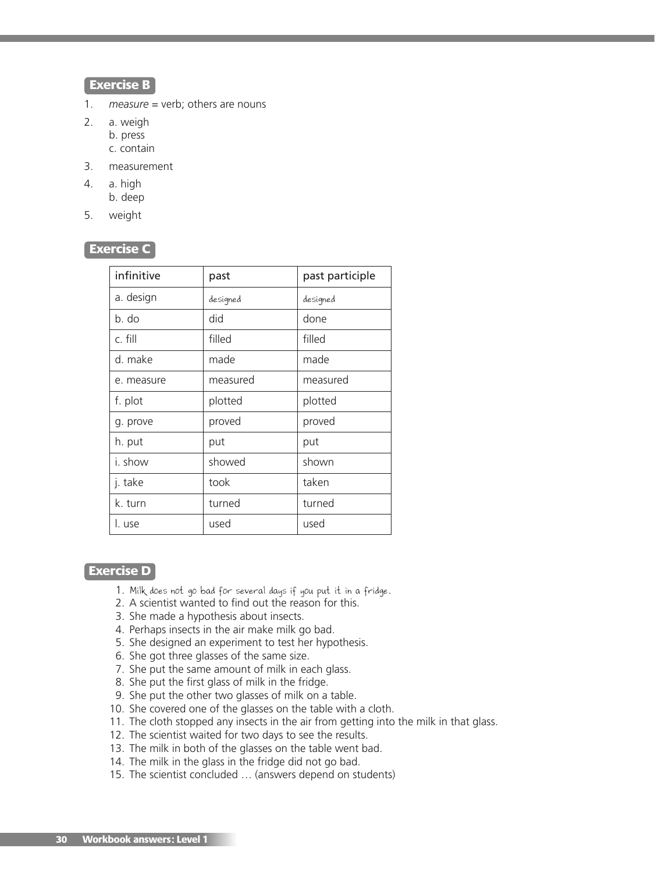#### **Exercise B**

- 1. *measure* = verb; others are nouns
- 2. a. weigh b. press c. contain
- 3. measurement
- 4. a. high b. deep
- 5. weight

#### **Exercise C**

| infinitive | past     | past participle |
|------------|----------|-----------------|
| a. design  | designed | designed        |
| b. do      | did      | done            |
| c. fill    | filled   | filled          |
| d. make    | made     | made            |
| e. measure | measured | measured        |
| f. plot    | plotted  | plotted         |
| g. prove   | proved   | proved          |
| h. put     | put      | put             |
| i. show    | showed   | shown           |
| j. take    | took     | taken           |
| k. turn    | turned   | turned          |
| l. use     | used     | used            |

#### **Exercise D**

- 1. Milk does not go bad for several days if you put it in a fridge.
- 2. A scientist wanted to find out the reason for this.
- 3. She made a hypothesis about insects.
- 4. Perhaps insects in the air make milk go bad.
- 5. She designed an experiment to test her hypothesis.
- 6. She got three glasses of the same size.
- 7. She put the same amount of milk in each glass.
- 8. She put the first glass of milk in the fridge.
- 9. She put the other two glasses of milk on a table.
- 10. She covered one of the glasses on the table with a cloth.
- 11. The cloth stopped any insects in the air from getting into the milk in that glass.
- 12. The scientist waited for two days to see the results.
- 13. The milk in both of the glasses on the table went bad.
- 14. The milk in the glass in the fridge did not go bad.
- 15. The scientist concluded … (answers depend on students)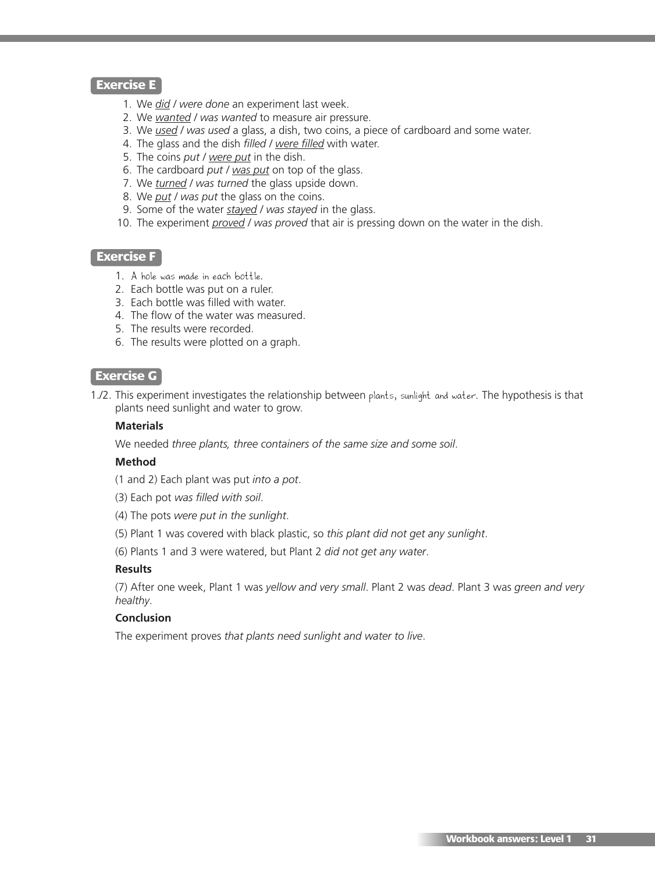#### **Exercise E**

- 1. We *did / were done* an experiment last week.
- 2. We *wanted / was wanted* to measure air pressure.
- 3. We *used / was used* a glass, a dish, two coins, a piece of cardboard and some water.
- 4. The glass and the dish *filled / were filled* with water.
- 5. The coins *put / were put* in the dish.
- 6. The cardboard *put / was put* on top of the glass.
- 7. We *turned / was turned* the glass upside down.
- 8. We *put / was put* the glass on the coins.
- 9. Some of the water *stayed / was stayed* in the glass.
- 10. The experiment *proved / was proved* that air is pressing down on the water in the dish.

#### **Exercise F**

- 1. A hole was made in each bottle*.*
- 2. Each bottle was put on a ruler.
- 3. Each bottle was filled with water.
- 4. The flow of the water was measured.
- 5. The results were recorded.
- 6. The results were plotted on a graph.

#### **Exercise G**

1./2. This experiment investigates the relationship between plants, sunlight and water*.* The hypothesis is that plants need sunlight and water to grow.

#### **Materials**

We needed *three plants, three containers of the same size and some soil*.

#### **Method**

(1 and 2) Each plant was put *into a pot*.

- (3) Each pot *was filled with soil*.
- (4) The pots *were put in the sunlight*.
- (5) Plant 1 was covered with black plastic, so *this plant did not get any sunlight*.

(6) Plants 1 and 3 were watered, but Plant 2 *did not get any water*.

#### **Results**

(7) After one week, Plant 1 was *yellow and very small*. Plant 2 was *dead*. Plant 3 was *green and very healthy*.

#### **Conclusion**

The experiment proves *that plants need sunlight and water to live*.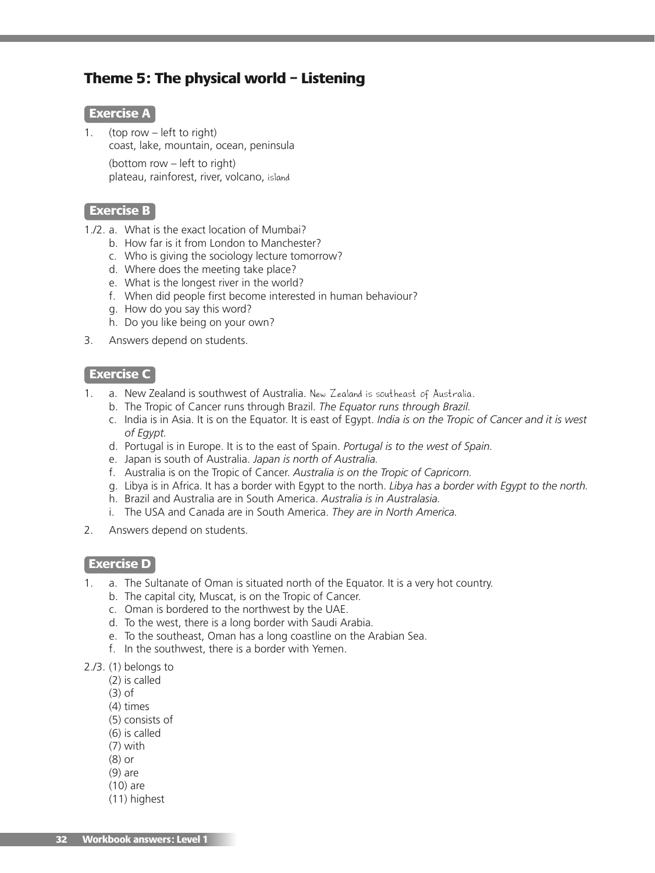### **Theme 5: The physical world – Listening**

#### **Exercise A**

1. (top row – left to right) coast, lake, mountain, ocean, peninsula (bottom row – left to right)

plateau, rainforest, river, volcano, island

#### **Exercise B**

- 1./2. a. What is the exact location of Mumbai?
	- b. How far is it from London to Manchester?
	- c. Who is giving the sociology lecture tomorrow?
	- d. Where does the meeting take place?
	- e. What is the longest river in the world?
	- f. When did people first become interested in human behaviour?
	- g. How do you say this word?
	- h. Do you like being on your own?
- 3. Answers depend on students.

#### **Exercise C**

- 1. a. New Zealand is southwest of Australia. New Zealand is southeast of Australia.
	- b. The Tropic of Cancer runs through Brazil. *The Equator runs through Brazil.*
	- c. India is in Asia. It is on the Equator. It is east of Egypt. *India is on the Tropic of Cancer and it is west of Egypt.*
	- d. Portugal is in Europe. It is to the east of Spain. *Portugal is to the west of Spain.*
	- e. Japan is south of Australia. *Japan is north of Australia.*
	- f. Australia is on the Tropic of Cancer. *Australia is on the Tropic of Capricorn.*
	- g. Libya is in Africa. It has a border with Egypt to the north. *Libya has a border with Egypt to the north.*
	- h. Brazil and Australia are in South America. *Australia is in Australasia.*
	- i. The USA and Canada are in South America. *They are in North America.*
- 2. Answers depend on students.

#### **Exercise D**

- 1. a. The Sultanate of Oman is situated north of the Equator. It is a very hot country.
	- b. The capital city, Muscat, is on the Tropic of Cancer.
	- c. Oman is bordered to the northwest by the UAE.
	- d. To the west, there is a long border with Saudi Arabia.
	- e. To the southeast, Oman has a long coastline on the Arabian Sea.
	- f. In the southwest, there is a border with Yemen.
- 2./3. (1) belongs to
	- (2) is called
	- (3) of
	- (4) times
	- (5) consists of
	- (6) is called
	- (7) with
	- (8) or
	- (9) are
	- (10) are
	- (11) highest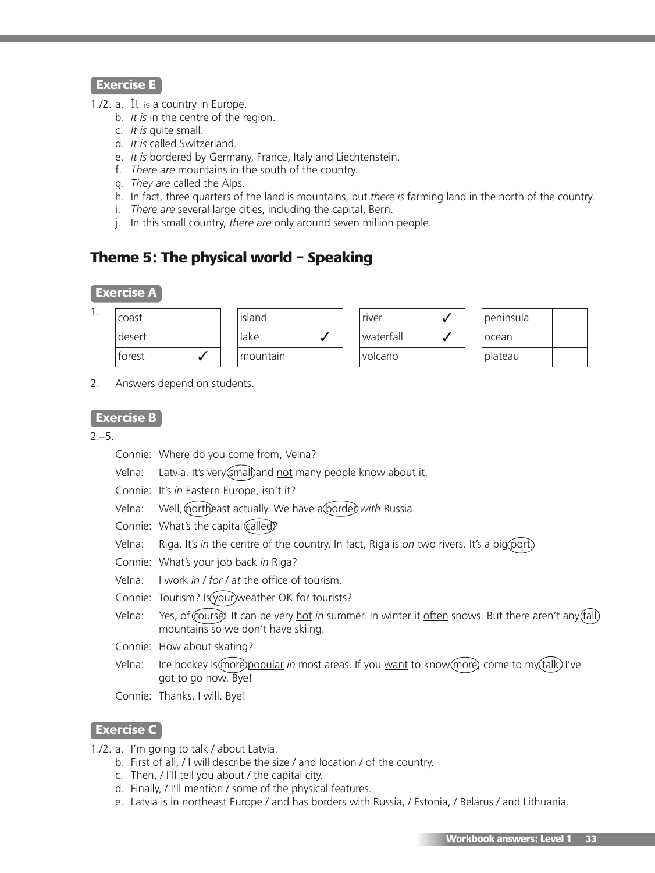### **Exercise E**

- 1./2. a. It is a country in Europe.
	- b. *It is* in the centre of the region.
	- c. *It is* quite small.
	- d. *It is* called Switzerland.
	- e. *It is* bordered by Germany, France, Italy and Liechtenstein.
	- f. *There are* mountains in the south of the country.
	- g. *They are* called the Alps.
	- h. In fact, three quarters of the land is mountains, but *there is* farming land in the north of the country.
	- i. *There are* several large cities, including the capital, Bern.
	- j. In this small country, *there are* only around seven million people.

# **Theme 5: The physical world – Speaking**

#### **Exercise A**

| coast  |  | island            |  | river           |  | <i>c</i> l peninsula |  |
|--------|--|-------------------|--|-----------------|--|----------------------|--|
| desert |  | lake              |  | waterfall       |  | Tocean               |  |
| forest |  | <i>I</i> mountain |  | <u>lvolcano</u> |  | I plateau            |  |

2. Answers depend on students.

#### **Exercise B**

 $2 - 5$ 

1.

- Connie: Where do you come from, Velna?
- Velna: Latvia. It's very (small) and not many people know about it.
- Connie: It's *in* Eastern Europe, isn't it?
- Velna: Well, northeast actually. We have a border, with Russia.
- Connie: What's the capital called?
- Velna: Riga. It's *in* the centre of the country. In fact, Riga is *on* two rivers. It's a big(port).
- Connie: What's your job back *in* Riga?
- Velna: I work *in / for / at* the office of tourism.
- Connie: Tourism? Is your) weather OK for tourists?
- Velna: Yes, of course! It can be very hot *in* summer. In winter it often snows. But there aren't any (tall) mountains so we don't have skiing.
- Connie: How about skating?
- Velna: Ice hockey is more popular *in* most areas. If you want to know (more) come to my (talk.) I've got to go now. Bye!
- Connie: Thanks, I will. Bye!

#### **Exercise C**

- 1./2. a. I'm going to talk / about Latvia.
	- b. First of all, / I will describe the size / and location / of the country.
	- c. Then, / I'll tell you about / the capital city.
	- d. Finally, / I'll mention / some of the physical features.
	- e. Latvia is in northeast Europe / and has borders with Russia, / Estonia, / Belarus / and Lithuania.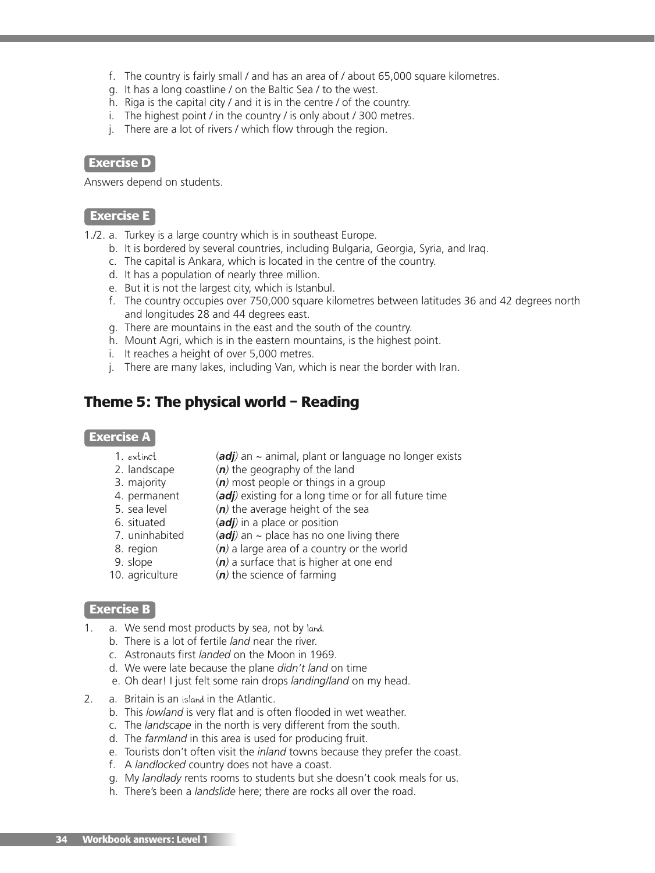- f. The country is fairly small / and has an area of / about 65,000 square kilometres.
- g. It has a long coastline / on the Baltic Sea / to the west.
- h. Riga is the capital city / and it is in the centre / of the country.
- i. The highest point / in the country / is only about / 300 metres.
- j. There are a lot of rivers / which flow through the region.

#### **Exercise D**

Answers depend on students.

#### **Exercise E**

- 1./2. a. Turkey is a large country which is in southeast Europe.
	- b. It is bordered by several countries, including Bulgaria, Georgia, Syria, and Iraq.
	- c. The capital is Ankara, which is located in the centre of the country.
	- d. It has a population of nearly three million.
	- e. But it is not the largest city, which is Istanbul.
	- f. The country occupies over 750,000 square kilometres between latitudes 36 and 42 degrees north and longitudes 28 and 44 degrees east.
	- g. There are mountains in the east and the south of the country.
	- h. Mount Agri, which is in the eastern mountains, is the highest point.
	- i. It reaches a height of over 5,000 metres.
	- j. There are many lakes, including Van, which is near the border with Iran.

### **Theme 5: The physical world – Reading**

#### **Exercise A**

- 1. extinct (*adj)* an ~ animal, plant or language no longer exists
- 2. landscape (*n)* the geography of the land
- 3. majority (*n)* most people or things in a group
- 4. permanent (*adj)* existing for a long time or for all future time
- 5. sea level (*n)* the average height of the sea
- 6. situated (*adj)* in a place or position
- 7. uninhabited (*adj)* an ~ place has no one living there
- 8. region (*n)* a large area of a country or the world
- 9. slope (*n)* a surface that is higher at one end
- 
- 10. agriculture (*n)* the science of farming

#### **Exercise B**

- a. We send most products by sea, not by land.
	- b. There is a lot of fertile *land* near the river.
	- c. Astronauts first *landed* on the Moon in 1969.
	- d. We were late because the plane *didn't land* on time
	- e. Oh dear! I just felt some rain drops *landing/land* on my head.
- 2. a. Britain is an island in the Atlantic.
	- b. This *lowland* is very flat and is often flooded in wet weather.
	- c. The *landscape* in the north is very different from the south.
	- d. The *farmland* in this area is used for producing fruit.
	- e. Tourists don't often visit the *inland* towns because they prefer the coast.
	- f. A *landlocked* country does not have a coast.
	- g. My *landlady* rents rooms to students but she doesn't cook meals for us.
	- h. There's been a *landslide* here; there are rocks all over the road.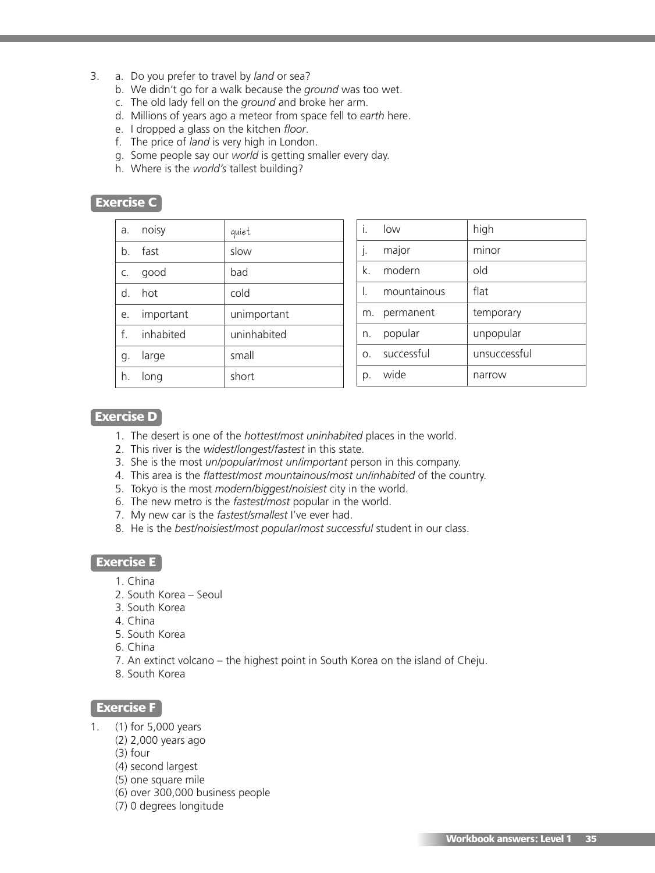- 3. a. Do you prefer to travel by *land* or sea?
	- b. We didn't go for a walk because the *ground* was too wet.
	- c. The old lady fell on the *ground* and broke her arm.
	- d. Millions of years ago a meteor from space fell to *earth* here.
	- e. I dropped a glass on the kitchen *floor*.
	- f. The price of *land* is very high in London.
	- g. Some people say our *world* is getting smaller every day.
	- h. Where is the *world's* tallest building?

| a.          | noisy        | quiet       |
|-------------|--------------|-------------|
|             | b. fast      | slow        |
| C.          | good         | bad         |
| $d_{\cdot}$ | hot          | cold        |
| е.          | important    | unimportant |
|             | f. inhabited | uninhabited |
| g.          | large        | small       |
|             | long         | short       |

| i. | low         | high         |
|----|-------------|--------------|
| I. | major       | minor        |
|    | k. modern   | old          |
|    | mountainous | flat         |
| m. | permanent   | temporary    |
| n. | popular     | unpopular    |
| Ο. | successful  | unsuccessful |
| p. | wide        | narrow       |

#### **Exercise D**

- 1. The desert is one of the *hottest/most uninhabited* places in the world.
- 2. This river is the *widest/longest/fastest* in this state.
- 3. She is the most *un/popular/most un/important* person in this company.
- 4. This area is the *flattest/most mountainous/most un/inhabited* of the country.
- 5. Tokyo is the most *modern/biggest/noisiest* city in the world.
- 6. The new metro is the *fastest/most* popular in the world.
- 7. My new car is the *fastest/smallest* I've ever had.
- 8. He is the *best/noisiest/most popular/most successful* student in our class.

#### **Exercise E**

- 1. China
- 2. South Korea Seoul
- 3. South Korea
- 4. China
- 5. South Korea
- 6. China
- 7. An extinct volcano the highest point in South Korea on the island of Cheju.
- 8. South Korea

#### **Exercise F**

- 1. (1) for 5,000 years
	- (2) 2,000 years ago
		- (3) four
		- (4) second largest
		- (5) one square mile
		- (6) over 300,000 business people
		- (7) 0 degrees longitude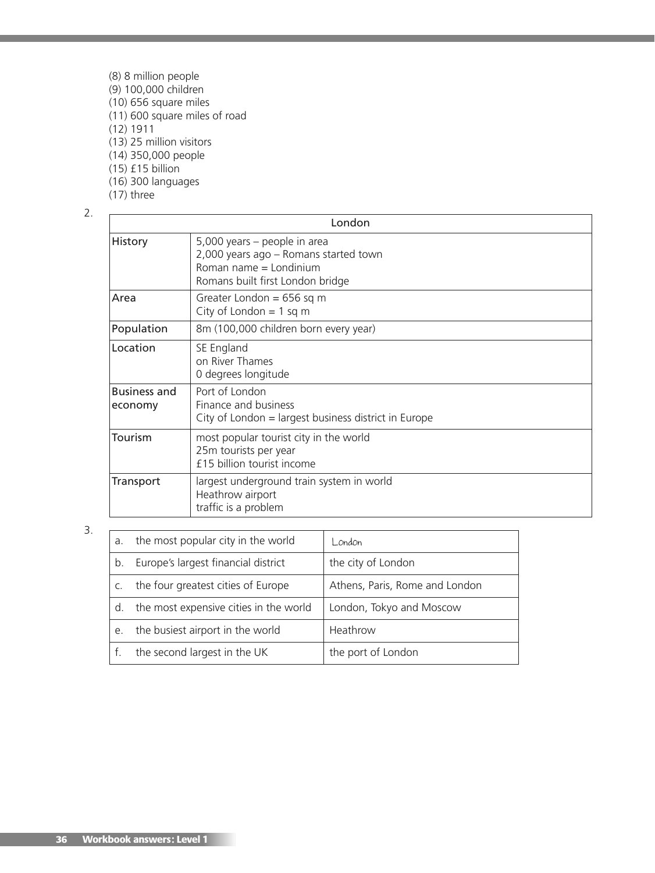- (8) 8 million people (9) 100,000 children (10) 656 square miles (11) 600 square miles of road (12) 1911 (13) 25 million visitors (14) 350,000 people  $(15)$  £15 billion
- (16) 300 languages
- $(17)$  three

### 2.

|                                | London                                                                                                                              |
|--------------------------------|-------------------------------------------------------------------------------------------------------------------------------------|
| History                        | 5,000 years - people in area<br>2,000 years ago - Romans started town<br>Roman name = Londinium<br>Romans built first London bridge |
| Area                           | Greater London = $656$ sq m<br>City of London = $1$ sq m                                                                            |
| Population                     | 8m (100,000 children born every year)                                                                                               |
| Location                       | SE England<br>on River Thames<br>0 degrees longitude                                                                                |
| <b>Business and</b><br>economy | Port of London<br>Finance and business<br>City of London = largest business district in Europe                                      |
| Tourism                        | most popular tourist city in the world<br>25m tourists per year<br>£15 billion tourist income                                       |
| Transport                      | largest underground train system in world<br>Heathrow airport<br>traffic is a problem                                               |

3.

| a.    | the most popular city in the world     | London                         |
|-------|----------------------------------------|--------------------------------|
| $b$ . | Europe's largest financial district    | the city of London             |
|       | the four greatest cities of Europe     | Athens, Paris, Rome and London |
| d.    | the most expensive cities in the world | London, Tokyo and Moscow       |
| e.    | the busiest airport in the world       | Heathrow                       |
|       | the second largest in the UK           | the port of London             |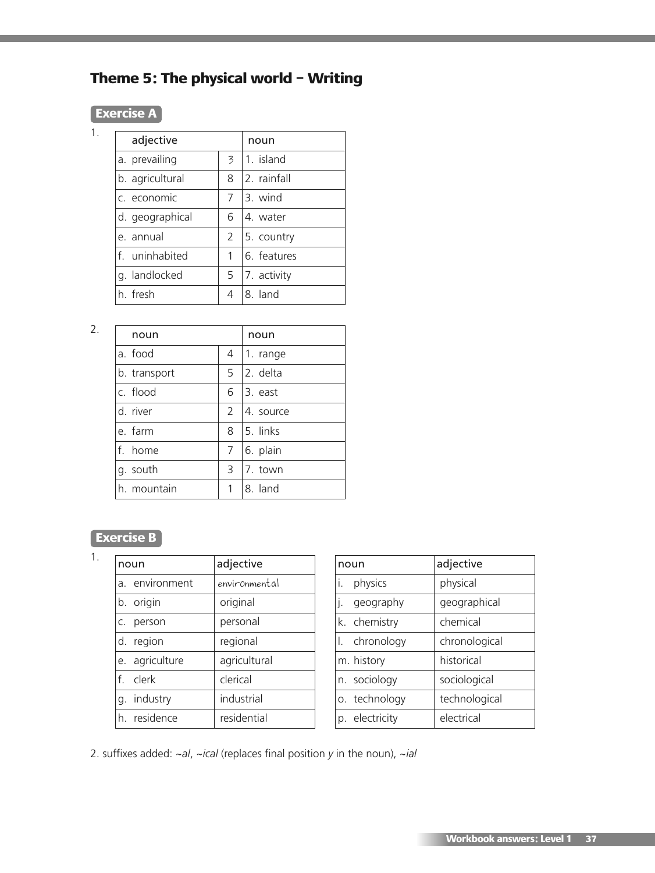# **Theme 5: The physical world – Writing**

### **Exercise A**

1.

| adjective       | noun          |              |
|-----------------|---------------|--------------|
| a. prevailing   | 3             | 1. island    |
| b. agricultural | 8             | 12. rainfall |
| c. economic     | 7             | 3. wind      |
| d. geographical | 6             | 4. water     |
| e annual        | $\mathcal{P}$ | 5. country   |
| f. uninhabited  | 1             | 6. features  |
| g. landlocked   | 5             | 7. activity  |
| h fresh         | 4             | 8. land      |

2.

| noun         |                | noun       |
|--------------|----------------|------------|
| a. food      | 4              | 1. range   |
| b. transport | 5              | 2. delta   |
| c. flood     | 6              | 13. east   |
| d. river     | $\overline{2}$ | 14. source |
| e. farm      | 8              | 5. links   |
| f. home      | $\overline{7}$ | 6. plain   |
| g. south     | 3              | 7. town    |
| h. mountain  | 1              | 8. land    |

### **Exercise B**

|    | noun           | adjective     |
|----|----------------|---------------|
|    | a. environment | environmental |
|    | b. origin      | original      |
| C. | person         | personal      |
|    | d. region      | regional      |
|    | e. agriculture | agricultural  |
|    | f clerk        | clerical      |
|    | g. industry    | industrial    |
|    | h residence    | residential   |
|    |                |               |

| noun            | adjective     |
|-----------------|---------------|
| i.<br>physics   | physical      |
| j.<br>geography | geographical  |
| k. chemistry    | chemical      |
| I. chronology   | chronological |
| m. history      | historical    |
| n. sociology    | sociological  |
| o. technology   | technological |
| p. electricity  | electrical    |

2. suffixes added: ~*al*, ~*ical* (replaces final position *y* in the noun), ~*ial*